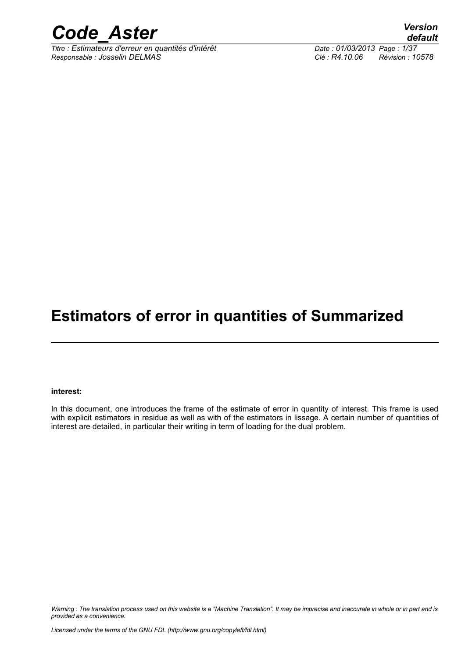

*Titre : Estimateurs d'erreur en quantités d'intérêt Date : 01/03/2013 Page : 1/37 Responsable : Josselin DELMAS Clé : R4.10.06 Révision : 10578*

*default*

### **Estimators of error in quantities of Summarized**

#### **interest:**

In this document, one introduces the frame of the estimate of error in quantity of interest. This frame is used with explicit estimators in residue as well as with of the estimators in lissage. A certain number of quantities of interest are detailed, in particular their writing in term of loading for the dual problem.

*Warning : The translation process used on this website is a "Machine Translation". It may be imprecise and inaccurate in whole or in part and is provided as a convenience.*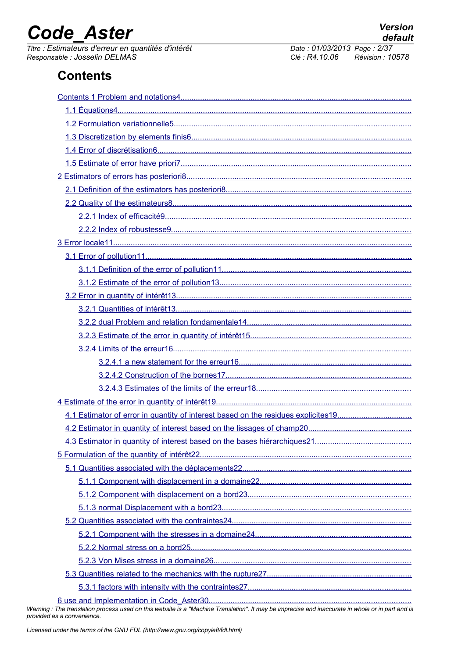*Titre : Estimateurs d'erreur en quantités d'intérêt Date : 01/03/2013 Page : 2/37 Responsable : Josselin DELMAS Clé : R4.10.06 Révision : 10578*

### **Contents**

*Warning : The translation process used on this website is a "Machine Translation". It may be imprecise and inaccurate in whole or in part and is provided as a convenience.*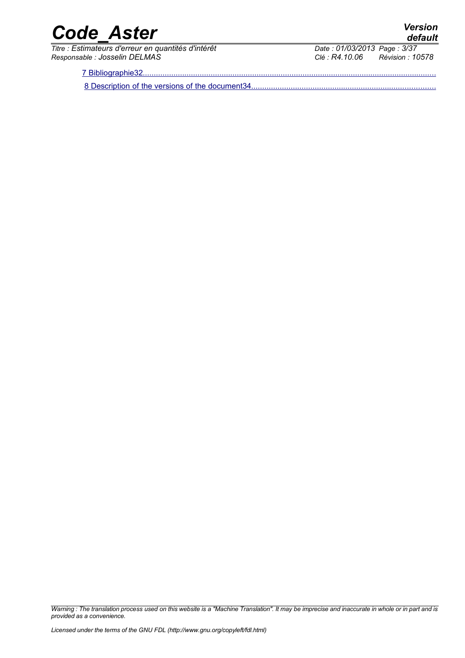*Titre : Estimateurs d'erreur en quantités d'intérêt Date : 01/03/2013/2013 Date : 01/03/2013 Page : 3/3781 Page : 3/3781 Page : 2/3781 Page : 2/3781 Page : 2/3781 Page : 2/3781 Page : 2/3781 Page : 2/3 Responsable : Josselin DELMAS Clé : R4.10.06 Révision : 10578*

7 Bibliographie32.

8 Description of the versions of the document34.

*Warning : The translation process used on this website is a "Machine Translation". It may be imprecise and inaccurate in whole or in part and is provided as a convenience.*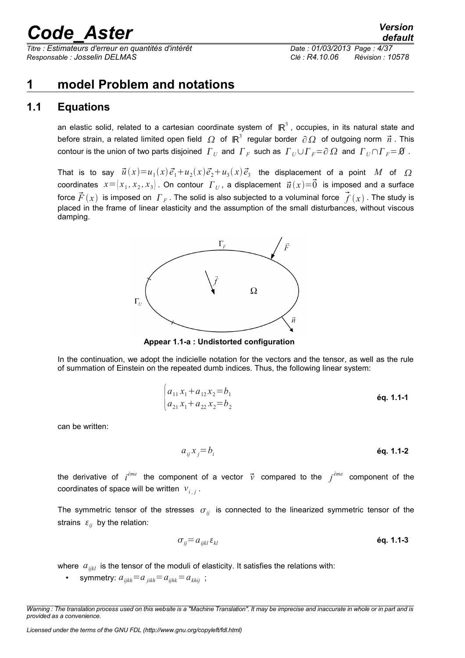*Titre : Estimateurs d'erreur en quantités d'intérêt Date : 01/03/2013 Page : 4/37 Responsable : Josselin DELMAS Clé : R4.10.06 Révision : 10578*

### <span id="page-3-0"></span>**1 model Problem and notations**

### **1.1 Equations**

<span id="page-3-1"></span>an elastic solid, related to a cartesian coordinate system of  $\mathbb{R}^3$ , occupies, in its natural state and before strain, a related limited open field  $\varOmega$  of  $\mathbb{R}^3$  regular border  $\partial\varOmega$  of outgoing norm  $\vec n$  . This  $c$ ontour is the union of two parts disjoined  $\| \bm{\varGamma}_U \|$  and  $\| \bm{\varGamma}_F \|$  such as  $\| \bm{\varGamma}_U \cup \bm{\varGamma}_F = \partial \|\Omega\|$  and  $\| \bm{\varGamma}_U \cap \bm{\varGamma}_F = \bm{\varnothing}$  .

That is to say  $\vec{u}(x) = u_1(x) \vec{e}_1 + u_2(x) \vec{e}_2 + u_3(x) \vec{e}_3$  the displacement of a point  $M$  of  $\Omega$ coordinates  $x \!=\! (x_1, x_2, x_3]$  . On contour  $\,\varGamma\,{}_{U}$  , a displacement  $\,\vec{u}\, (x) \!=\! \vec{0}\,$  is imposed and a surface force  $\vec{F}(x)$  is imposed on  $\,\overline{\!F}_F$  . The solid is also subjected to a voluminal force  $\,\vec{\bar{f}}\,(x)$  . The study is placed in the frame of linear elasticity and the assumption of the small disturbances, without viscous damping.



**Appear 1.1-a : Undistorted configuration**

In the continuation, we adopt the indicielle notation for the vectors and the tensor, as well as the rule of summation of Einstein on the repeated dumb indices. Thus, the following linear system:

$$
\begin{cases} a_{11}x_1 + a_{12}x_2 = b_1 \\ a_{21}x_1 + a_{22}x_2 = b_2 \end{cases}
$$
 6q. 1.1-1

can be written:

$$
a_{ij}x_j = b_i
$$

the derivative of *i ème* the component of a vector *v* compared to the *j ème* component of the coordinates of space will be written  $v_{i,j}$ .

The symmetric tensor of the stresses  $\sigma_{ij}$  is connected to the linearized symmetric tensor of the strains  $\varepsilon_{ii}$  by the relation:

$$
\sigma_{ij} = a_{ijkl} \, \varepsilon_{kl} \tag{6q. 1.1-3}
$$

where  $a_{ijkl}$  is the tensor of the moduli of elasticity. It satisfies the relations with:

symmetry:  $a_{ijkh} = a_{jikh} = a_{jhh} = a_{khij}$ ;

*Warning : The translation process used on this website is a "Machine Translation". It may be imprecise and inaccurate in whole or in part and is provided as a convenience.*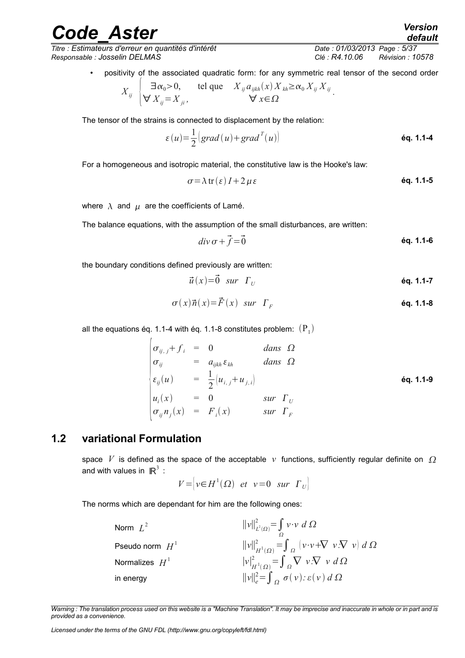*Titre : Estimateurs d'erreur en quantités d'intérêt Date : 01/03/2013 Page : 5/37 Responsable : Josselin DELMAS Clé : R4.10.06 Révision : 10578*

*default*

• positivity of the associated quadratic form: for any symmetric real tensor of the second order

$$
X_{ij} \begin{cases} \exists \alpha_0 > 0, & \text{tel que} \quad X_{ij} a_{ijkh}(x) X_{kh} \ge \alpha_0 X_{ij} X_{ij} \\ \forall X_{ij} = X_{ji}, & \forall x \in \Omega \end{cases}
$$

The tensor of the strains is connected to displacement by the relation:

$$
\varepsilon(u) = \frac{1}{2} \left( \operatorname{grad}(u) + \operatorname{grad}^{T}(u) \right)
$$
 **éq. 1.1-4**

For a homogeneous and isotropic material, the constitutive law is the Hooke's law:

$$
\sigma = \lambda \operatorname{tr}(\varepsilon) I + 2 \mu \varepsilon \qquad \qquad \text{6q. 1.1-5}
$$

<span id="page-4-2"></span><span id="page-4-1"></span>.

where  $\lambda$  and  $\mu$  are the coefficients of Lamé.

The balance equations, with the assumption of the small disturbances, are written:

$$
div \, \sigma + \vec{f} = \vec{0} \tag{6q. 1.1-6}
$$

the boundary conditions defined previously are written:

$$
\vec{u}(x) = \vec{0} \quad sur \quad \Gamma_U \tag{6q. 1.1-7}
$$

$$
\sigma(x)\vec{n}(x) = \vec{F}(x) \quad \text{sur} \quad \Gamma_F \tag{6q. 1.1-8}
$$

all the equations [éq. 1.1-4](#page-4-1) with [éq. 1.1-8](#page-4-2) constitutes problem:  ${\rm (P}_{1})$ 

$$
\begin{vmatrix}\n\sigma_{ij,j} + f_i &= 0 & \text{dans } \Omega \\
\sigma_{ij} &= a_{ijkh} \varepsilon_{kh} & \text{dans } \Omega \\
\varepsilon_{ij}(u) &= \frac{1}{2} \left[ u_{i,j} + u_{j,i} \right] & \text{\'eq. 1.1-9} \\
u_i(x) &= 0 & \text{sur } \Gamma_U \\
\sigma_{ij} n_j(x) &= F_i(x) & \text{sur } \Gamma_F\n\end{vmatrix}
$$

### **1.2 variational Formulation**

<span id="page-4-0"></span>space *V* is defined as the space of the acceptable *v* functions, sufficiently regular definite on  $\Omega$ and with values in  $\mathbb{R}^3$  :

$$
V = \left| v \in H^1(\Omega) \text{ et } v = 0 \text{ sur } \Gamma_U \right|
$$

The norms which are dependant for him are the following ones:

| Norm $L^2$        | $\ v\ _{L^2(\Omega)}^2 = \int v \cdot v \ d\Omega$                                    |
|-------------------|---------------------------------------------------------------------------------------|
| Pseudo norm $H^1$ | $  v  _{H^1(\Omega)}^2 = \int_{\Omega} (v \cdot v + \nabla v \cdot \nabla v) d\Omega$ |
| Normalizes $H^1$  | $ v _{H^1(\Omega)}^2 = \int_{\Omega} \nabla v \cdot \nabla v d\Omega$                 |
| in energy         | $  v  _e^2 = \int_{\Omega} \sigma(v) \cdot \varepsilon(v) d\Omega$                    |

*Warning : The translation process used on this website is a "Machine Translation". It may be imprecise and inaccurate in whole or in part and is provided as a convenience.*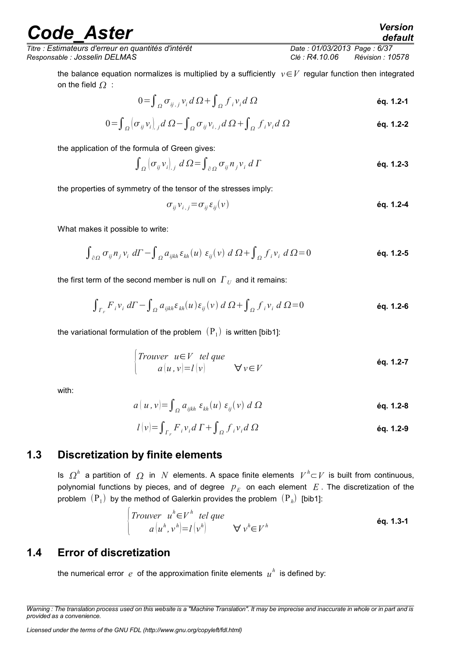*Titre : Estimateurs d'erreur en quantités d'intérêt Date : 01/03/2013 Page : 6/37 Responsable : Josselin DELMAS Clé : R4.10.06 Révision : 10578*

the balance equation normalizes is multiplied by a sufficiently *v*∈*V* regular function then integrated on the field  $\Omega$ :

$$
0 = \int_{\Omega} \sigma_{ij,j} v_i d\Omega + \int_{\Omega} f_i v_i d\Omega
$$

$$
0 = \int_{\Omega} \left[ \sigma_{ij} v_i \right]_{,j} d \Omega - \int_{\Omega} \sigma_{ij} v_{i,j} d \Omega + \int_{\Omega} f_i v_i d \Omega
$$

the application of the formula of Green gives:

$$
\int_{\Omega} \left( \sigma_{ij} \nu_{i} \right)_{,j} d\Omega = \int_{\partial \Omega} \sigma_{ij} n_{j} \nu_{i} d\Gamma
$$

the properties of symmetry of the tensor of the stresses imply:

$$
\sigma_{ij}v_{i,j} = \sigma_{ij}\epsilon_{ij}(v)
$$

What makes it possible to write:

$$
\int_{\partial\Omega} \sigma_{ij} n_j v_i \, d\Gamma - \int_{\Omega} a_{ijkh} \, \varepsilon_{kh}(u) \, \varepsilon_{ij}(v) \, d\Omega + \int_{\Omega} f_i v_i \, d\Omega = 0 \tag{6q. 1.2-5}
$$

the first term of the second member is null on  $\vert \boldsymbol{\varGamma}_U \vert$  and it remains:

$$
\int_{\Gamma_F} F_i v_i \, d\Gamma - \int_{\Omega} a_{ijkh} \varepsilon_{kh}(u) \varepsilon_{ij}(v) \, d\Omega + \int_{\Omega} f_i v_i \, d\Omega = 0
$$

the variational formulation of the problem  $\,(\mathrm{P}_1)\,$  is written [bib1]:

$$
\begin{cases}\nTrouver & u \in V \text{ tel que} \\
a(u, v) = l(v) & \forall v \in V\n\end{cases}
$$

with:

$$
a(u,v) = \int_{\Omega} a_{ijkh} \varepsilon_{kh}(u) \varepsilon_{ij}(v) d\Omega
$$

$$
l(v) = \int_{\Gamma_F} F_i v_i d\Gamma + \int_{\Omega} f_i v_i d\Omega
$$

### **1.3 Discretization by finite elements**

<span id="page-5-1"></span>Is  $\Omega^h$  a partition of  $\Omega$  in *N* elements. A space finite elements  $V^h\subset V$  is built from continuous, polynomial functions by pieces, and of degree  $p_E$  on each element  $\overline{E}$ . The discretization of the problem  $\,(\mathrm{P}_1)\,$  by the method of Galerkin provides the problem  $\,(\mathrm{P}_\hbar)\,$  [bib1]:

$$
\begin{cases}\nTrouver \quad u^h \in V^h \quad tel \quad que \\
a \left(u^h, v^h\right) = l\left(v^h\right) \quad \forall \; v^h \in V^h\n\end{cases}\n\qquad \text{Eq. 1.3-1}
$$

### **1.4 Error of discretization**

<span id="page-5-0"></span>the numerical error  $e$  of the approximation finite elements  $u^h$  is defined by:

*Warning : The translation process used on this website is a "Machine Translation". It may be imprecise and inaccurate in whole or in part and is provided as a convenience.*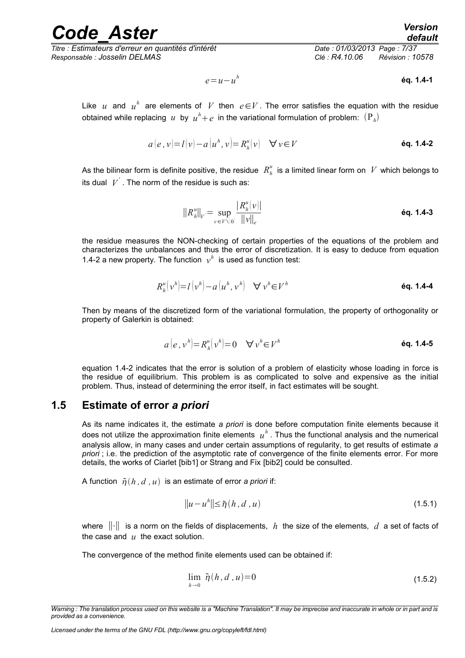*Titre : Estimateurs d'erreur en quantités d'intérêt Date : 01/03/2013 Page : 7/37 Responsable : Josselin DELMAS Clé : R4.10.06 Révision : 10578*

<span id="page-6-1"></span>

$$
e = u - u^h \qquad \qquad \text{6q. 1.4-1}
$$

Like  $u$  and  $u^h$  are elements of  $V$  then  $e\!\in\!V$ . The error satisfies the equation with the residue obtained while replacing  $u$  by  $u^h\!+e$  in the variational formulation of problem:  $({\rm P}_{\overline h})$ 

$$
a(e, v) = l(v) - a(u^h, v) = R_h^u(v) \quad \forall v \in V
$$
   
 éq. 1.4-2

As the bilinear form is definite positive, the residue  $\ R_h^u$  is a limited linear form on  $\ V$  which belongs to its dual  $|V^{'}|$ . The norm of the residue is such as:

$$
||R_{h}^{u}||_{V} = \sup_{v \in V \setminus [0]} \frac{|R_{h}^{u}(v)|}{||v||_{e}}
$$
\n
$$
\text{\'eq. 1.4-3}
$$

the residue measures the NON-checking of certain properties of the equations of the problem and characterizes the unbalances and thus the error of discretization. It is easy to deduce from equation [1.4-2](#page-6-1) a new property. The function  $v^h$  is used as function test:

$$
R_h^u(v^h) = l(v^h) - a(u^h, v^h) \quad \forall \ v^h \in V^h \tag{6q. 1.4-4}
$$

Then by means of the discretized form of the variational formulation, the property of orthogonality or property of Galerkin is obtained:

$$
a(e, vh) = Rhu(vh) = 0 \quad \forall vh \in Vh \tag{6q. 1.4-5}
$$

equation [1.4-2](#page-6-1) indicates that the error is solution of a problem of elasticity whose loading in force is the residue of equilibrium. This problem is as complicated to solve and expensive as the initial problem. Thus, instead of determining the error itself, in fact estimates will be sought.

### **1.5 Estimate of error** *a priori*

<span id="page-6-0"></span>As its name indicates it, the estimate *a priori* is done before computation finite elements because it does not utilize the approximation finite elements  $|u^h|$ . Thus the functional analysis and the numerical analysis allow, in many cases and under certain assumptions of regularity, to get results of estimate *a priori* ; i.e. the prediction of the asymptotic rate of convergence of the finite elements error. For more details, the works of Ciarlet [bib1] or Strang and Fix [bib2] could be consulted.

A function  $\tilde{\eta}(h, d, u)$  is an estimate of error *a priori* if:

$$
||u - uh|| \leq \tilde{\eta}(h, d, u)
$$
\n(1.5.1)

where ∥⋅∥ is a norm on the fields of displacements, *h* the size of the elements, *d* a set of facts of the case and *u* the exact solution.

The convergence of the method finite elements used can be obtained if:

$$
\lim_{h \to 0} \tilde{\eta}(h, d, u) = 0 \tag{1.5.2}
$$

*Warning : The translation process used on this website is a "Machine Translation". It may be imprecise and inaccurate in whole or in part and is provided as a convenience.*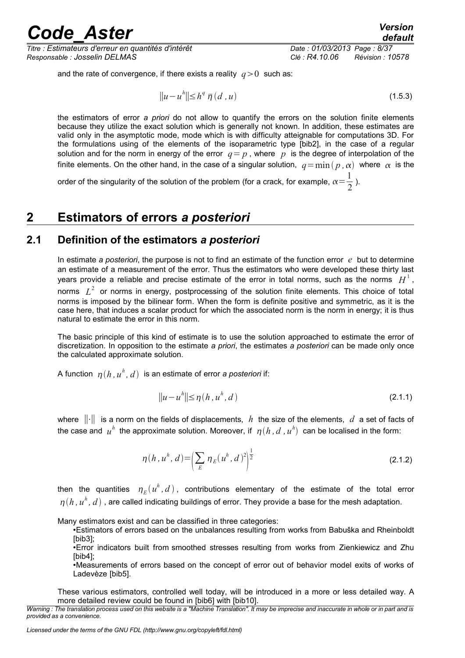*Titre : Estimateurs d'erreur en quantités d'intérêt Date : 01/03/2013 Page : 8/37 Responsable : Josselin DELMAS Clé : R4.10.06 Révision : 10578*

and the rate of convergence, if there exists a reality  $q>0$  such as:

$$
||u - uh|| \le hq \overline{\eta} (d, u)
$$
 (1.5.3)

the estimators of error *a priori* do not allow to quantify the errors on the solution finite elements because they utilize the exact solution which is generally not known. In addition, these estimates are valid only in the asymptotic mode, mode which is with difficulty atteignable for computations 3D. For the formulations using of the elements of the isoparametric type [bib2], in the case of a regular solution and for the norm in energy of the error  $q = p$ , where p is the degree of interpolation of the finite elements. On the other hand, in the case of a singular solution,  $q = min (p, \alpha)$  where  $\alpha$  is the

order of the singularity of the solution of the problem (for a crack, for example,  $\alpha\!=\!{1\over\gamma}$  $\frac{1}{2}$ ).

### <span id="page-7-1"></span>**2 Estimators of errors** *a posteriori*

### **2.1 Definition of the estimators** *a posteriori*

<span id="page-7-0"></span>In estimate *a posteriori*, the purpose is not to find an estimate of the function error *e* but to determine an estimate of a measurement of the error. Thus the estimators who were developed these thirty last years provide a reliable and precise estimate of the error in total norms, such as the norms  $[H^1\,,\,$ norms  $L^2$  or norms in energy, postprocessing of the solution finite elements. This choice of total norms is imposed by the bilinear form. When the form is definite positive and symmetric, as it is the case here, that induces a scalar product for which the associated norm is the norm in energy; it is thus natural to estimate the error in this norm.

The basic principle of this kind of estimate is to use the solution approached to estimate the error of discretization. In opposition to the estimate *a priori*, the estimates *a posteriori* can be made only once the calculated approximate solution.

A function  $\eta(h,u^h,d)$  is an estimate of error *a posteriori* if:

$$
||u - uh|| \le \eta(h, uh, d)
$$
\n(2.1.1)

where ∥⋅∥ is a norm on the fields of displacements, *h* the size of the elements, *d* a set of facts of the case and  $u^h$  the approximate solution. Moreover, if  $\eta(h, d$  ,  $u^h)$  can be localised in the form:

$$
\eta(h, u^h, d) = \left(\sum_E \eta_E(u^h, d)^2\right)^{\frac{1}{2}} \tag{2.1.2}
$$

then the quantities  $\eta_{\scriptscriptstyle E}(u^h, d)$ , contributions elementary of the estimate of the total error  $\eta(h$  ,  $u^h$  ,  $d)$  , are called indicating buildings of error. They provide a base for the mesh adaptation.

Many estimators exist and can be classified in three categories:

•Estimators of errors based on the unbalances resulting from works from Babuška and Rheinboldt [bib3];

•Error indicators built from smoothed stresses resulting from works from Zienkiewicz and Zhu [bib4];

•Measurements of errors based on the concept of error out of behavior model exits of works of Ladevèze [bib5].

These various estimators, controlled well today, will be introduced in a more or less detailed way. A more detailed review could be found in [bib6] with [bib10].

*Warning : The translation process used on this website is a "Machine Translation". It may be imprecise and inaccurate in whole or in part and is provided as a convenience.*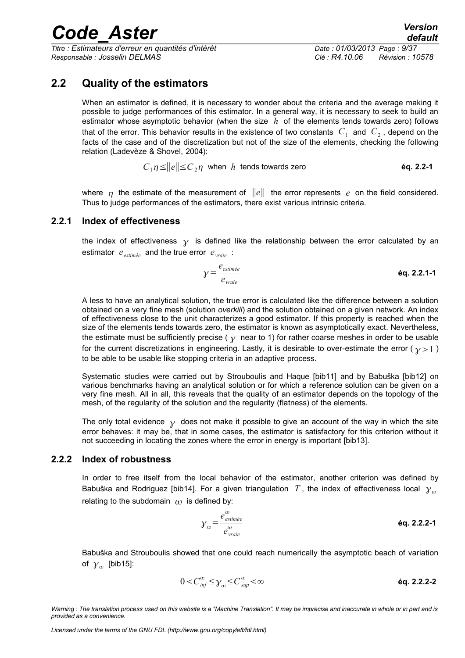*Titre : Estimateurs d'erreur en quantités d'intérêt Date : 01/03/2013 Page : 9/37 Responsable : Josselin DELMAS Clé : R4.10.06 Révision : 10578*

### **2.2 Quality of the estimators**

<span id="page-8-2"></span>When an estimator is defined, it is necessary to wonder about the criteria and the average making it possible to judge performances of this estimator. In a general way, it is necessary to seek to build an estimator whose asymptotic behavior (when the size *h* of the elements tends towards zero) follows that of the error. This behavior results in the existence of two constants  $|C_{1}|$  and  $|C_{2}|$ , depend on the facts of the case and of the discretization but not of the size of the elements, checking the following relation (Ladevèze & Shovel, 2004):

$$
C_1 \eta \le ||e|| \le C_2 \eta \quad \text{when} \quad h \text{ tends towards zero} \tag{6q. 2.2-1}
$$

where  $\eta$  the estimate of the measurement of  $||e||$  the error represents *e* on the field considered. Thus to judge performances of the estimators, there exist various intrinsic criteria.

#### **2.2.1 Index of effectiveness**

<span id="page-8-1"></span>the index of effectiveness  $\gamma$  is defined like the relationship between the error calculated by an estimator *eestimée* and the true error *evraie* :

$$
\gamma = \frac{e_{\text{estimate}}}{e_{\text{value}}}
$$
  $\text{éq. 2.2.1-1}$ 

A less to have an analytical solution, the true error is calculated like the difference between a solution obtained on a very fine mesh (solution *overkill*) and the solution obtained on a given network. An index of effectiveness close to the unit characterizes a good estimator. If this property is reached when the size of the elements tends towards zero, the estimator is known as asymptotically exact. Nevertheless, the estimate must be sufficiently precise ( $\gamma$  near to 1) for rather coarse meshes in order to be usable for the current discretizations in engineering. Lastly, it is desirable to over-estimate the error ( $y>1$ ) to be able to be usable like stopping criteria in an adaptive process.

Systematic studies were carried out by Strouboulis and Haque [bib11] and by Babuška [bib12] on various benchmarks having an analytical solution or for which a reference solution can be given on a very fine mesh. All in all, this reveals that the quality of an estimator depends on the topology of the mesh, of the regularity of the solution and the regularity (flatness) of the elements.

The only total evidence  $\gamma$  does not make it possible to give an account of the way in which the site error behaves: it may be, that in some cases, the estimator is satisfactory for this criterion without it not succeeding in locating the zones where the error in energy is important [bib13].

#### **2.2.2 Index of robustness**

<span id="page-8-0"></span>In order to free itself from the local behavior of the estimator, another criterion was defined by Babuška and Rodriguez [bib14]. For a given triangulation T, the index of effectiveness local  $\gamma_m$ relating to the subdomain  $\omega$  is defined by:

$$
y_{\omega} = \frac{e_{\text{estimée}}^{\omega}}{e_{\text{value}}^{\omega}}
$$
 **éq. 2.2.2-1**

Babuška and Strouboulis showed that one could reach numerically the asymptotic beach of variation of  $\gamma_{\omega}$  [bib15]:

$$
0 < C_{\text{inf}}^{\omega} \leq \gamma_{\omega} \leq C_{\text{sup}}^{\omega} < \infty \tag{6q. 2.2.2-2}
$$

*Warning : The translation process used on this website is a "Machine Translation". It may be imprecise and inaccurate in whole or in part and is provided as a convenience.*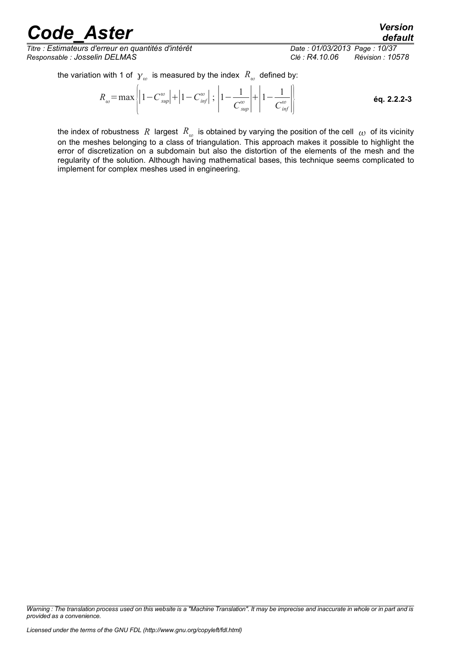*Titre : Estimateurs d'erreur en quantités d'intérêt Date : 01/03/2013 Page : 10/37 Responsable : Josselin DELMAS Clé : R4.10.06 Révision : 10578*

*default*

the variation with 1 of  $\,\boldsymbol{\gamma}_{\omega}\,$  is measured by the index  $\,\boldsymbol{\mathit{R}}_{\omega}\,$  defined by:

$$
R_{\omega} = \max \left| \left| 1 - C_{\text{sup}}^{\omega} \right| + \left| 1 - C_{\text{inf}}^{\omega} \right| ; \left| 1 - \frac{1}{C_{\text{sup}}^{\omega}} \right| + \left| 1 - \frac{1}{C_{\text{inf}}^{\omega}} \right| \right|
$$
 6q. 2.2.2-3

the index of robustness  $\,R\,$  largest  $\,R_{\,\omega}\,$  is obtained by varying the position of the cell  $\,\omega\,$  of its vicinity on the meshes belonging to a class of triangulation. This approach makes it possible to highlight the error of discretization on a subdomain but also the distortion of the elements of the mesh and the regularity of the solution. Although having mathematical bases, this technique seems complicated to implement for complex meshes used in engineering.

*Warning : The translation process used on this website is a "Machine Translation". It may be imprecise and inaccurate in whole or in part and is provided as a convenience.*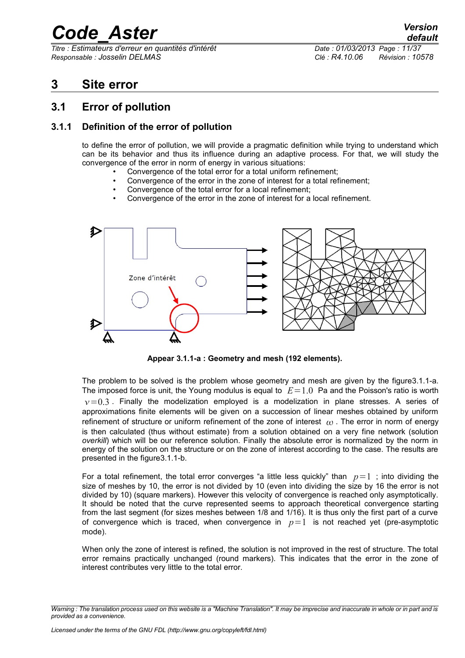*Titre : Estimateurs d'erreur en quantités d'intérêt Date : 01/03/2013 Page : 11/37 Responsable : Josselin DELMAS Clé : R4.10.06 Révision : 10578*

*default*

### <span id="page-10-2"></span>**3 Site error**

### <span id="page-10-1"></span>**3.1 Error of pollution**

### **3.1.1 Definition of the error of pollution**

<span id="page-10-0"></span>to define the error of pollution, we will provide a pragmatic definition while trying to understand which can be its behavior and thus its influence during an adaptive process. For that, we will study the convergence of the error in norm of energy in various situations:

- Convergence of the total error for a total uniform refinement;
- Convergence of the error in the zone of interest for a total refinement;
- Convergence of the total error for a local refinement;
- Convergence of the error in the zone of interest for a local refinement.



<span id="page-10-3"></span>**Appear 3.1.1-a : Geometry and mesh (192 elements).**

The problem to be solved is the problem whose geometry and mesh are given by the figur[e3.1.1-a.](#page-10-3) The imposed force is unit, the Young modulus is equal to  $E=1.0$  Pa and the Poisson's ratio is worth  $v=0.3$ . Finally the modelization employed is a modelization in plane stresses. A series of approximations finite elements will be given on a succession of linear meshes obtained by uniform refinement of structure or uniform refinement of the zone of interest  $\omega$ . The error in norm of energy is then calculated (thus without estimate) from a solution obtained on a very fine network (solution *overkill*) which will be our reference solution. Finally the absolute error is normalized by the norm in energy of the solution on the structure or on the zone of interest according to the case. The results are presented in the figur[e3.1.1-b.](#page-11-0)

For a total refinement, the total error converges "a little less quickly" than  $p=1$ ; into dividing the size of meshes by 10, the error is not divided by 10 (even into dividing the size by 16 the error is not divided by 10) (square markers). However this velocity of convergence is reached only asymptotically. It should be noted that the curve represented seems to approach theoretical convergence starting from the last segment (for sizes meshes between 1/8 and 1/16). It is thus only the first part of a curve of convergence which is traced, when convergence in  $p=1$  is not reached yet (pre-asymptotic mode).

When only the zone of interest is refined, the solution is not improved in the rest of structure. The total error remains practically unchanged (round markers). This indicates that the error in the zone of interest contributes very little to the total error.

*Warning : The translation process used on this website is a "Machine Translation". It may be imprecise and inaccurate in whole or in part and is provided as a convenience.*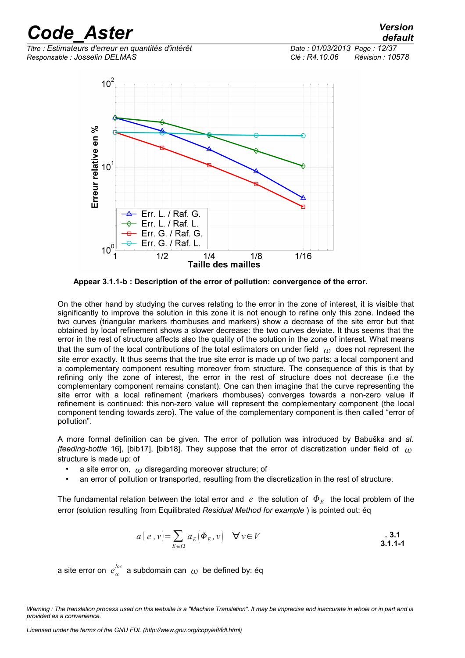*Titre : Estimateurs d'erreur en quantités d'intérêt Date : 01/03/2013 Page : 12/37 Responsable : Josselin DELMAS Clé : R4.10.06 Révision : 10578*

*default*



<span id="page-11-0"></span>**Appear 3.1.1-b : Description of the error of pollution: convergence of the error.**

On the other hand by studying the curves relating to the error in the zone of interest, it is visible that significantly to improve the solution in this zone it is not enough to refine only this zone. Indeed the two curves (triangular markers rhombuses and markers) show a decrease of the site error but that obtained by local refinement shows a slower decrease: the two curves deviate. It thus seems that the error in the rest of structure affects also the quality of the solution in the zone of interest. What means that the sum of the local contributions of the total estimators on under field  $\omega$  does not represent the site error exactly. It thus seems that the true site error is made up of two parts: a local component and a complementary component resulting moreover from structure. The consequence of this is that by refining only the zone of interest, the error in the rest of structure does not decrease (i.e the complementary component remains constant). One can then imagine that the curve representing the site error with a local refinement (markers rhombuses) converges towards a non-zero value if refinement is continued: this non-zero value will represent the complementary component (the local component tending towards zero). The value of the complementary component is then called "error of pollution".

A more formal definition can be given. The error of pollution was introduced by Babuška and *al. [feeding-bottle* 16], [bib17], [bib18]. They suppose that the error of discretization under field of structure is made up: of

- a site error on,  $\omega$  disregarding moreover structure; of
- an error of pollution or transported, resulting from the discretization in the rest of structure.

The fundamental relation between the total error and  $\,e\,$  the solution of  $\,\Phi_{E}\,$  the local problem of the error (solution resulting from Equilibrated *Residual Method for example* ) is pointed out: éq

$$
a(e, v) = \sum_{E \in \Omega} a_E(\Phi_E, v) \quad \forall v \in V
$$

a site error on  $e_{\omega}^{loc}$  a subdomain can  $\,\omega\,$  be defined by: éq

*Warning : The translation process used on this website is a "Machine Translation". It may be imprecise and inaccurate in whole or in part and is provided as a convenience.*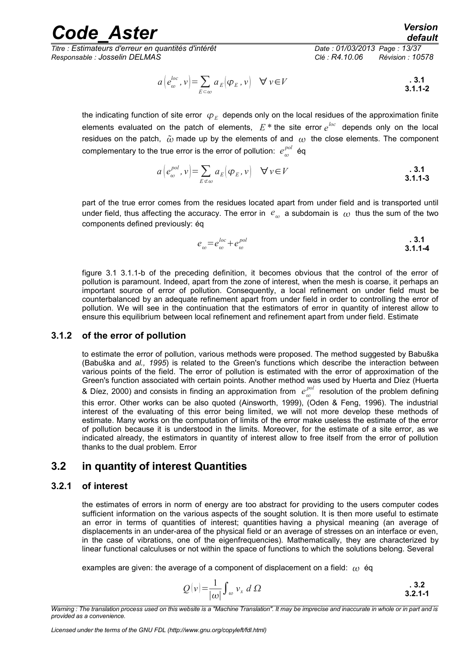*Titre : Estimateurs d'erreur en quantités d'intérêt Date : 01/03/2013 Page : 13/37 Responsable : Josselin DELMAS Clé : R4.10.06 Révision : 10578*

$$
a\left(e_{\omega}^{loc}, v\right) = \sum_{E \subset \omega} a_E \left(\varphi_E, v\right) \quad \forall v \in V
$$
\n3.1.1-2

the indicating function of site error  $\,\phi_{\scriptscriptstyle E}\,$  depends only on the local residues of the approximation finite elements evaluated on the patch of elements,  $E^*$  the site error  $e^{loc}$  depends only on the local residues on the patch,  $\tilde{\omega}$  made up by the elements of and  $\omega$  the close elements. The component complementary to the true error is the error of pollution:  $e_{\omega}^{pol}$  éq

$$
a\left(e_{\omega}^{pol}, v\right) = \sum_{E \notin \omega} a_E \left(\varphi_E, v\right) \quad \forall v \in V
$$
\n3.1.1-3

part of the true error comes from the residues located apart from under field and is transported until under field, thus affecting the accuracy. The error in  $|e_{\omega}|$  a subdomain is  $|_{\omega}|$  thus the sum of the two components defined previously: éq

$$
e_{\omega} = e_{\omega}^{loc} + e_{\omega}^{pol}
$$

figure 3.1 [3.1.1-b](#page-11-0) of the preceding definition, it becomes obvious that the control of the error of pollution is paramount. Indeed, apart from the zone of interest, when the mesh is coarse, it perhaps an important source of error of pollution. Consequently, a local refinement on under field must be counterbalanced by an adequate refinement apart from under field in order to controlling the error of pollution. We will see in the continuation that the estimators of error in quantity of interest allow to ensure this equilibrium between local refinement and refinement apart from under field. Estimate

#### **3.1.2 of the error of pollution**

<span id="page-12-2"></span>to estimate the error of pollution, various methods were proposed. The method suggested by Babuška (Babuška and *al., 1995*) is related to the Green's functions which describe the interaction between various points of the field. The error of pollution is estimated with the error of approximation of the Green's function associated with certain points. Another method was used by Huerta and Díez (Huerta & Díez, 2000) and consists in finding an approximation from  $e_{\omega}^{pol}$  resolution of the problem defining this error. Other works can be also quoted (Ainsworth, 1999), (Oden & Feng, 1996). The industrial interest of the evaluating of this error being limited, we will not more develop these methods of estimate. Many works on the computation of limits of the error make useless the estimate of the error of pollution because it is understood in the limits. Moreover, for the estimate of a site error, as we indicated already, the estimators in quantity of interest allow to free itself from the error of pollution thanks to the dual problem. Error

### <span id="page-12-1"></span>**3.2 in quantity of interest Quantities**

#### **3.2.1 of interest**

<span id="page-12-0"></span>the estimates of errors in norm of energy are too abstract for providing to the users computer codes sufficient information on the various aspects of the sought solution. It is then more useful to estimate an error in terms of quantities of interest; quantities having a physical meaning (an average of displacements in an under-area of the physical field or an average of stresses on an interface or even, in the case of vibrations, one of the eigenfrequencies). Mathematically, they are characterized by linear functional calculuses or not within the space of functions to which the solutions belong. Several

examples are given: the average of a component of displacement on a field:  $\omega$  éq

$$
Q(v) = \frac{1}{|w|} \int_w v_x \ d\Omega
$$

*Warning : The translation process used on this website is a "Machine Translation". It may be imprecise and inaccurate in whole or in part and is provided as a convenience.*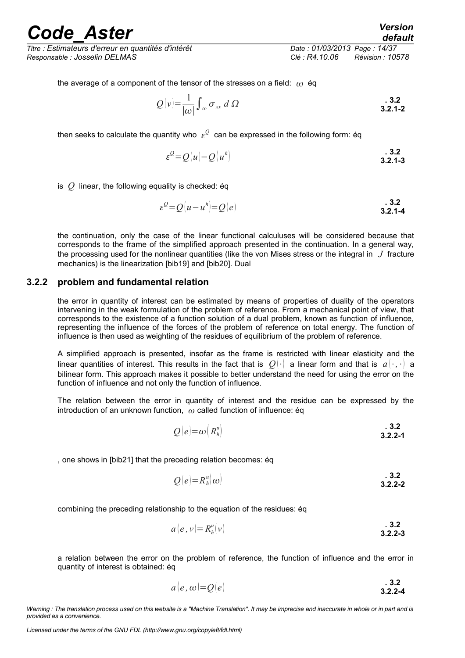*Titre : Estimateurs d'erreur en quantités d'intérêt Date : 01/03/2013 Page : 14/37 Responsable : Josselin DELMAS Clé : R4.10.06 Révision : 10578*

*default*

the average of a component of the tensor of the stresses on a field:  $\omega$  ég

$$
Q(v) = \frac{1}{|\omega|} \int_{\omega} \sigma_{xx} d\Omega
$$

then seeks to calculate the quantity who  $\,\varepsilon^{\mathcal{Q}}\,$  can be expressed in the following form: éq

$$
\varepsilon^{\mathcal{Q}} = Q(u) - Q(u^h) \qquad \qquad 3.2
$$

is *Q* linear, the following equality is checked: éq

$$
\varepsilon^{\mathcal{Q}} = \mathcal{Q}(u - u^h) = \mathcal{Q}(e)
$$

the continuation, only the case of the linear functional calculuses will be considered because that corresponds to the frame of the simplified approach presented in the continuation. In a general way, the processing used for the nonlinear quantities (like the von Mises stress or the integral in *J* fracture mechanics) is the linearization [bib19] and [bib20]. Dual

#### **3.2.2 problem and fundamental relation**

<span id="page-13-0"></span>the error in quantity of interest can be estimated by means of properties of duality of the operators intervening in the weak formulation of the problem of reference. From a mechanical point of view, that corresponds to the existence of a function solution of a dual problem, known as function of influence, representing the influence of the forces of the problem of reference on total energy. The function of influence is then used as weighting of the residues of equilibrium of the problem of reference.

A simplified approach is presented, insofar as the frame is restricted with linear elasticity and the linear quantities of interest. This results in the fact that is  $Q(\cdot)$  a linear form and that is  $a(\cdot, \cdot)$  a bilinear form. This approach makes it possible to better understand the need for using the error on the function of influence and not only the function of influence.

The relation between the error in quantity of interest and the residue can be expressed by the introduction of an unknown function, *ω* called function of influence: éq

$$
Q(e) = \omega(R_h^u) \qquad \qquad 3.2
$$

, one shows in [bib21] that the preceding relation becomes: éq

$$
Q(e) = R_h^u(\omega) \qquad \qquad .3.2
$$

combining the preceding relationship to the equation of the residues: éq

$$
a(e, v) = R_h^u(v)
$$
 3.2.2-3

a relation between the error on the problem of reference, the function of influence and the error in quantity of interest is obtained: éq

$$
a(e, \omega) = Q(e) \tag{3.2.2-4}
$$

*Warning : The translation process used on this website is a "Machine Translation". It may be imprecise and inaccurate in whole or in part and is provided as a convenience.*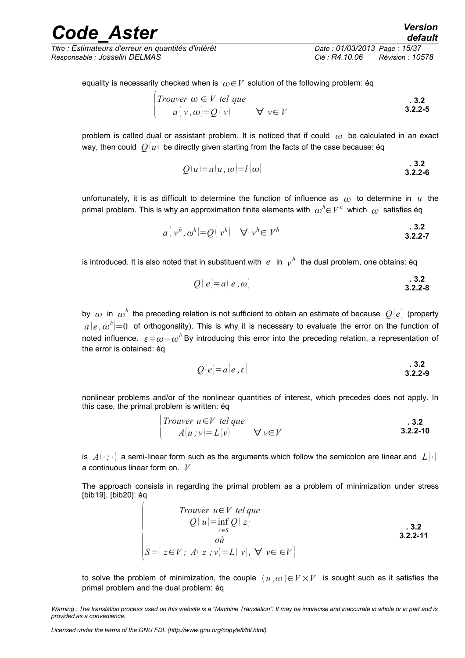*Titre : Estimateurs d'erreur en quantités d'intérêt Date : 01/03/2013 Page : 15/37 Responsable : Josselin DELMAS Clé : R4.10.06 Révision : 10578*

*default*

**. 3.2**

$$
\begin{cases}\nTrouver \omega \in V \ tel \ que \\
 a \mid v, \omega \mid = Q \mid v \rangle \qquad \forall \ v \in V\n\end{cases}
$$

problem is called dual or assistant problem. It is noticed that if could  $\omega$  be calculated in an exact way, then could  $O(u)$  be directly given starting from the facts of the case because: éq

$$
Q(u) = a(u, \omega) = l(\omega) \tag{3.2.2-6}
$$

unfortunately, it is as difficult to determine the function of influence as  $\omega$  to determine in  $u$  the primal problem. This is why an approximation finite elements with  $\,\omega^h{\in}V^h\,$  which  $\,\omega\,$  satisfies éq

$$
a\left(v^h, \omega^h\right) = Q\left(v^h\right) \quad \forall \; v^h \in V^h \tag{3.2.2-7}
$$

is introduced. It is also noted that in substituent with  $\,e\,$  in  $\,{}_{\cal V}^{\,h}\,$  the dual problem, one obtains: éq

$$
Q(e)=a(e,\omega)
$$
 . 3.2  
3.2.2-8

by  $\,\omega$  in  $\,\omega^h$  the preceding relation is not sufficient to obtain an estimate of because  $\,\mathcal{Q}[e]\,$  (property  $a\,(e\,,\omega^{\,h}){=}0\,$  of orthogonality). This is why it is necessary to evaluate the error on the function of noted influence.  $\varepsilon = \omega - \omega^h$  By introducing this error into the preceding relation, a representation of the error is obtained: éq

<span id="page-14-0"></span>
$$
Q(e)=a(e,\varepsilon)
$$

nonlinear problems and/or of the nonlinear quantities of interest, which precedes does not apply. In this case, the primal problem is written: éq

| <i>Trouver u ∈ V tel que</i> | 3.2             |          |
|------------------------------|-----------------|----------|
| $A(u; v) = L(v)$             | $\forall v ∈ V$ | 3.2.2-10 |

is  $A(\cdot;\cdot)$  a semi-linear form such as the arguments which follow the semicolon are linear and  $L(\cdot)$ a continuous linear form on. *V*

The approach consists in regarding the primal problem as a problem of minimization under stress [bib19], [bib20]: éq

\n
$$
\text{Trouver } u \in V \text{ tel que}
$$
\n
$$
Q(u) = \inf_{z \in S} Q(z)
$$
\n

\n\n $\text{so } u$ \n

\n\n $S = \{ z \in V; A(z; v) = L(v), \forall v \in \in V \}$ \n

\n\n 3.2.2-11\n

to solve the problem of minimization, the couple  $(u, \omega) \in V \times V$  is sought such as it satisfies the primal problem and the dual problem: éq

*Warning : The translation process used on this website is a "Machine Translation". It may be imprecise and inaccurate in whole or in part and is provided as a convenience.*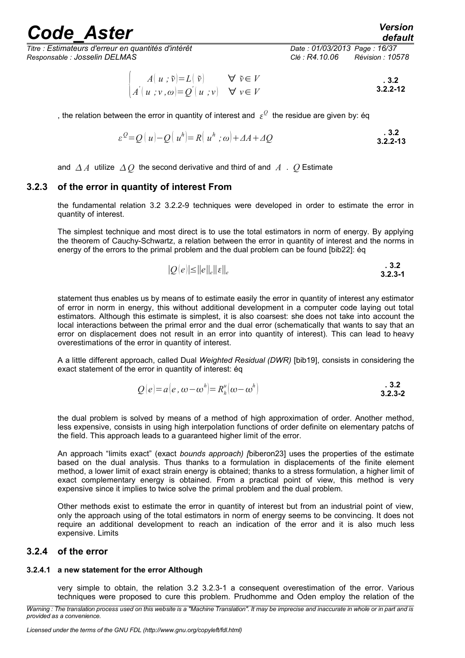*Titre : Estimateurs d'erreur en quantités d'intérêt Date : 01/03/2013 Page : 16/37 Responsable : Josselin DELMAS Clé : R4.10.06 Révision : 10578*

*default*

$$
\begin{cases}\nA(u;\tilde{v})=L(\tilde{v}) & \forall \tilde{v}\in V \\
A'(u;v,\omega)=Q'(u;v) & \forall v\in V\n\end{cases}
$$

, the relation between the error in quantity of interest and  $\,\varepsilon^{\mathcal{Q}}\,$  the residue are given by: éq

$$
\varepsilon^{Q} = Q(u) - Q(u^{h}) = R(u^{h}; \omega) + \varDelta A + \varDelta Q
$$
\n**3.2.2-13**

<span id="page-15-2"></span>and  $\Delta A$  utilize  $\Delta O$  the second derivative and third of and A . O Estimate

#### **3.2.3 of the error in quantity of interest From**

the fundamental relation 3.2 [3.2.2-9](#page-14-0) techniques were developed in order to estimate the error in quantity of interest.

The simplest technique and most direct is to use the total estimators in norm of energy. By applying the theorem of Cauchy-Schwartz, a relation between the error in quantity of interest and the norms in energy of the errors to the primal problem and the dual problem can be found [bib22]: éq

<span id="page-15-3"></span>
$$
|Q(e)| \le ||e||_e ||\varepsilon||_e
$$

statement thus enables us by means of to estimate easily the error in quantity of interest any estimator of error in norm in energy, this without additional development in a computer code laying out total estimators. Although this estimate is simplest, it is also coarsest: she does not take into account the local interactions between the primal error and the dual error (schematically that wants to say that an error on displacement does not result in an error into quantity of interest). This can lead to heavy overestimations of the error in quantity of interest.

A a little different approach, called Dual *Weighted Residual (DWR)* [bib19], consists in considering the exact statement of the error in quantity of interest: éq

$$
Q(e) = a(e, \omega - \omegah) = Rhu(\omega - \omegah)
$$
**3.2.3-2**

the dual problem is solved by means of a method of high approximation of order. Another method, less expensive, consists in using high interpolation functions of order definite on elementary patchs of the field. This approach leads to a guaranteed higher limit of the error.

An approach "limits exact" (exact *bounds approach) [*biberon23] uses the properties of the estimate based on the dual analysis. Thus thanks to a formulation in displacements of the finite element method, a lower limit of exact strain energy is obtained; thanks to a stress formulation, a higher limit of exact complementary energy is obtained. From a practical point of view, this method is very expensive since it implies to twice solve the primal problem and the dual problem.

Other methods exist to estimate the error in quantity of interest but from an industrial point of view, only the approach using of the total estimators in norm of energy seems to be convincing. It does not require an additional development to reach an indication of the error and it is also much less expensive. Limits

#### <span id="page-15-1"></span>**3.2.4 of the error**

### **3.2.4.1 a new statement for the error Although**

<span id="page-15-0"></span>very simple to obtain, the relation 3.2 [3.2.3-1](#page-15-3) a consequent overestimation of the error. Various techniques were proposed to cure this problem. Prudhomme and Oden employ the relation of the

*Warning : The translation process used on this website is a "Machine Translation". It may be imprecise and inaccurate in whole or in part and is provided as a convenience.*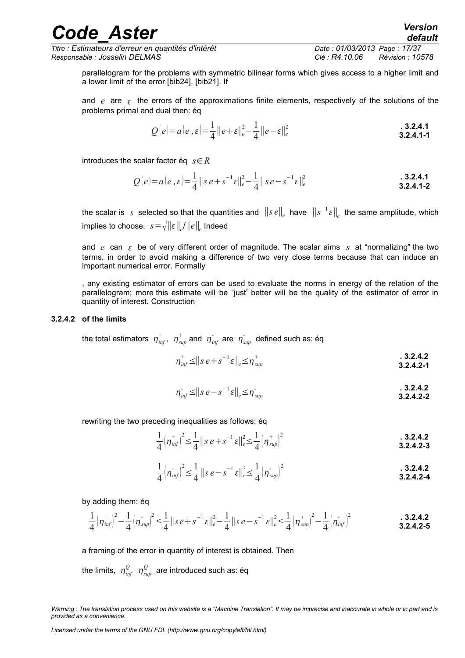*Titre : Estimateurs d'erreur en quantités d'intérêt Date : 01/03/2013 Page : 17/37*

*default*

parallelogram for the problems with symmetric bilinear forms which gives access to a higher limit and a lower limit of the error [bib24], [bib21]. If

and  $e$  are  $\epsilon$  the errors of the approximations finite elements, respectively of the solutions of the problems primal and dual then: éq

$$
Q(e) = a(e, \varepsilon) = \frac{1}{4} ||e + \varepsilon||_e^2 - \frac{1}{4} ||e - \varepsilon||_e^2
$$
**3.2.4.1-1**

introduces the scalar factor éq *s*∈*R*

$$
Q(e) = a(e, \varepsilon) = \frac{1}{4} ||s e + s^{-1} \varepsilon||_e^2 - \frac{1}{4} ||s e - s^{-1} \varepsilon||_e^2
$$
**3.2.4.1-2**

the scalar is *s* selected so that the quantities and ∥*s e*∥*<sup>e</sup>* have ∥*s* −1 ∥*e* the same amplitude, which implies to choose. *s*=∥∥*<sup>e</sup>* /∥*e*∥*<sup>e</sup>* Indeed

and  $e$  can  $\epsilon$  be of very different order of magnitude. The scalar aims  $s$  at "normalizing" the two terms, in order to avoid making a difference of two very close terms because that can induce an important numerical error. Formally

, any existing estimator of errors can be used to evaluate the norms in energy of the relation of the parallelogram; more this estimate will be "just" better will be the quality of the estimator of error in quantity of interest. Construction

#### **3.2.4.2 of the limits**

<span id="page-16-0"></span>the total estimators  $\ \eta_{\ inf}^+$ ,  $\ \eta_{\ sup}^+$  and  $\ \eta_{\ inf}^-$  are  $\ \eta_{\ sup}^-$  defined such as: éq

$$
\eta_{\text{inf}}^+ \leq ||s e + s^{-1} \varepsilon||_e \leq \eta_{\text{sup}}^+ \tag{3.2.4.2}
$$

$$
\eta_{\text{inf}}^{\text{-}} \leq ||s e - s^{-1} \varepsilon||_e \leq \eta_{\text{sup}}^{\text{-}} \tag{3.2.4.2}
$$

rewriting the two preceding inequalities as follows: éq

$$
\frac{1}{4} \left( \eta_{\text{inf}}^+ \right)^2 \leq \frac{1}{4} \left\| s \, e + s^{-1} \, \varepsilon \right\|_e^2 \leq \frac{1}{4} \left( \eta_{\text{sup}}^+ \right)^2 \tag{3.2.4.2-3}
$$

$$
\frac{1}{4} \left( \eta_{\text{inf}}^{\dagger} \right)^2 \leq \frac{1}{4} \left\| s \, e^{-s} \, s^{-1} \, \varepsilon \right\|_e^2 \leq \frac{1}{4} \left( \eta_{\text{sup}}^{\dagger} \right)^2 \tag{3.2.4.2}
$$

by adding them: éq

$$
\frac{1}{4} \left( \eta_{\text{inf}}^{+} \right)^2 - \frac{1}{4} \left( \eta_{\text{sup}}^{-} \right)^2 \leq \frac{1}{4} \left\| s \, e + s^{-1} \, \varepsilon \right\|_e^2 - \frac{1}{4} \left\| s \, e - s^{-1} \, \varepsilon \right\|_e^2 \leq \frac{1}{4} \left( \eta_{\text{sup}}^{+} \right)^2 - \frac{1}{4} \left( \eta_{\text{inf}}^{-} \right)^2 \tag{3.2.4.2-5}
$$

a framing of the error in quantity of interest is obtained. Then

the limits,  $\eta_{_{inf}}^{\mathcal{Q}}$   $\eta_{_{sup}}^{\mathcal{Q}}$  are introduced such as: éq

*Warning : The translation process used on this website is a "Machine Translation". It may be imprecise and inaccurate in whole or in part and is provided as a convenience.*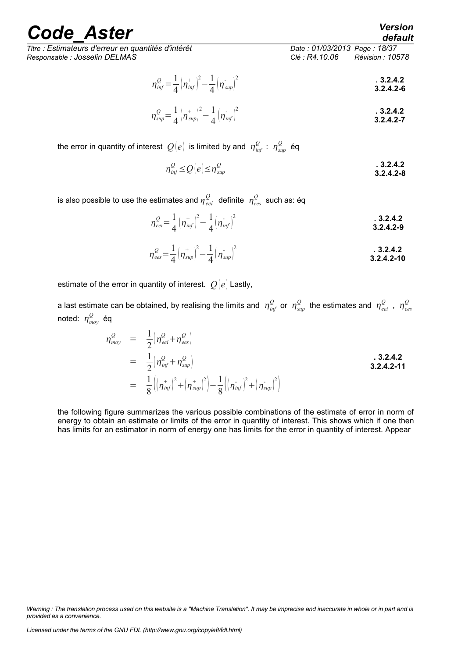*Titre : Estimateurs d'erreur en quantités d'intérêt Date : 01/03/2013 Page : 18/37 Responsable : Josselin DELMAS Clé : R4.10.06 Révision : 10578*

$$
\eta_{\text{inf}}^{\text{Q}} = \frac{1}{4} \left( \eta_{\text{inf}}^{+} \right)^2 - \frac{1}{4} \left( \eta_{\text{sup}}^{-} \right)^2
$$

$$
\eta_{sup}^Q = \frac{1}{4} (\eta_{sup}^*)^2 - \frac{1}{4} (\eta_{inf}^*)^2
$$

the error in quantity of interest  $\mathcal{Q}(e)$  is limited by and  $\,\eta_{\mathit{inf}}^{\mathcal{Q}}:\,\eta_{\mathit{sup}}^{\mathcal{Q}}\,$  éq

$$
\eta_{\text{inf}}^{\mathcal{Q}} \leq Q(e) \leq \eta_{\text{sup}}^{\mathcal{Q}}
$$
\n3.2.4.2-8

is also possible to use the estimates and  $\eta_{\,eei}^{\,Q} \,$  definite  $\,\eta_{\,ees}^{\,Q} \,$  such as: éq

$$
\eta_{eei}^Q = \frac{1}{4} \left( \eta_{\text{inf}}^+ \right)^2 - \frac{1}{4} \left( \eta_{\text{inf}}^- \right)^2
$$

$$
\eta_{\text{ees}}^{\mathcal{Q}} = \frac{1}{4} \left( \eta_{\text{sup}}^{+} \right)^2 - \frac{1}{4} \left( \eta_{\text{sup}}^{-} \right)^2
$$

estimate of the error in quantity of interest.  $Q(e)$  Lastly,

a last estimate can be obtained, by realising the limits and  $\eta_{_{inf}}^Q$  or  $\eta_{_{sup}}^Q$  the estimates and  $\eta_{_{eei}}^Q$  ,  $\eta_{_{ees}}^Q$ noted:  $\eta_{\mathit{mov}}^{\mathcal{Q}}$  éq

$$
\eta_{moy}^{Q} = \frac{1}{2} \Big( \eta_{eei}^{Q} + \eta_{ees}^{Q} \Big)
$$
  
\n
$$
= \frac{1}{2} \Big( \eta_{inf}^{Q} + \eta_{sup}^{Q} \Big)
$$
  
\n
$$
= \frac{1}{8} \Big( \Big( \eta_{inf}^{+} \Big)^{2} + \Big( \eta_{sup}^{+} \Big)^{2} \Big) - \frac{1}{8} \Big( \Big( \eta_{inf}^{-} \Big)^{2} + \Big( \eta_{sup}^{-} \Big)^{2} \Big)
$$
  
\n3.2.4.2-11

the following figure summarizes the various possible combinations of the estimate of error in norm of energy to obtain an estimate or limits of the error in quantity of interest. This shows which if one then has limits for an estimator in norm of energy one has limits for the error in quantity of interest. Appear

*Warning : The translation process used on this website is a "Machine Translation". It may be imprecise and inaccurate in whole or in part and is provided as a convenience.*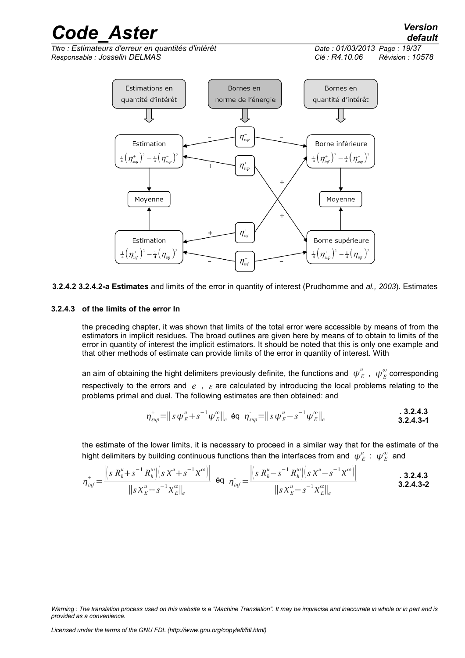*Titre : Estimateurs d'erreur en quantités d'intérêt Date : 01/03/2013 Page : 19/37 Responsable : Josselin DELMAS Clé : R4.10.06 Révision : 10578*

*default*



**3.2.4.2 3.2.4.2-a Estimates** and limits of the error in quantity of interest (Prudhomme and *al., 2003*). Estimates

#### **3.2.4.3 of the limits of the error In**

<span id="page-18-0"></span>the preceding chapter, it was shown that limits of the total error were accessible by means of from the estimators in implicit residues. The broad outlines are given here by means of to obtain to limits of the error in quantity of interest the implicit estimators. It should be noted that this is only one example and that other methods of estimate can provide limits of the error in quantity of interest. With

an aim of obtaining the hight delimiters previously definite, the functions and  $\,\,\psi^u_E\,$  ,  $\,\,\psi^{\omega}_E$  corresponding respectively to the errors and  $e$ ,  $\epsilon$  are calculated by introducing the local problems relating to the problems primal and dual. The following estimates are then obtained: and

$$
\eta_{sup}^+ = ||s \psi_E^u + s^{-1} \psi_E^w||_e \text{ éq } \eta_{sup}^- = ||s \psi_E^u - s^{-1} \psi_E^w||_e
$$

the estimate of the lower limits, it is necessary to proceed in a similar way that for the estimate of the hight delimiters by building continuous functions than the interfaces from and  $\,\,\psi^u_E$   $:\,\,\psi^{\omega}_E$  and

$$
\eta_{\text{inf}}^+ = \frac{\left\|s \, R_h^u + s^{-1} \, R_h^{\omega}\right\| \left(s \, \chi^u + s^{-1} \, \chi^{\omega}\right)}{\|s \, \chi_E^u + s^{-1} \, \chi_E^{\omega}\|_{e}} \quad \text{Eq} \quad \eta_{\text{inf}}^- = \frac{\left\|s \, R_h^u - s^{-1} \, R_h^{\omega}\right\| \left(s \, \chi^u - s^{-1} \, \chi^{\omega}\right)}{\|s \, \chi_E^u - s^{-1} \, \chi_E^{\omega}\|_{e}} \qquad \qquad 3.2.4.3
$$

*Warning : The translation process used on this website is a "Machine Translation". It may be imprecise and inaccurate in whole or in part and is provided as a convenience.*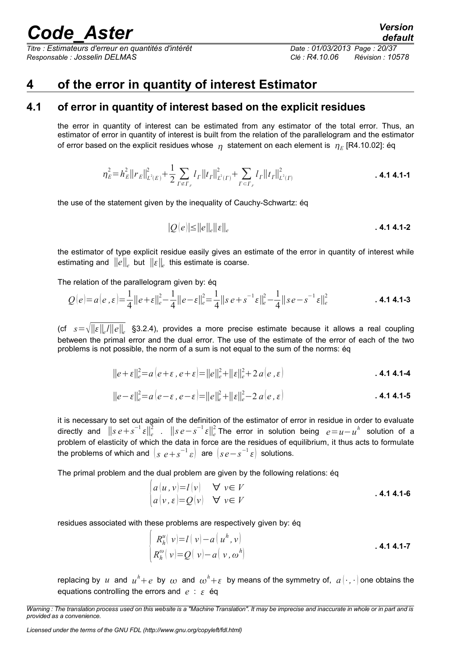*Titre : Estimateurs d'erreur en quantités d'intérêt Date : 01/03/2013 Page : 20/37 Responsable : Josselin DELMAS Clé : R4.10.06 Révision : 10578*

### <span id="page-19-1"></span>**4 of the error in quantity of interest Estimator**

### **4.1 of error in quantity of interest based on the explicit residues**

<span id="page-19-0"></span>the error in quantity of interest can be estimated from any estimator of the total error. Thus, an estimator of error in quantity of interest is built from the relation of the parallelogram and the estimator of error based on the explicit residues whose  $\vert \eta \vert$  statement on each element is  $\vert \eta \vert_{E}$  [R4.10.02]: éq

$$
\eta_E^2 = h_E^2 ||r_E||_{L^2(E)}^2 + \frac{1}{2} \sum_{\Gamma \not\subset \Gamma_F} l_\Gamma ||r_\Gamma||_{L^2(\Gamma)}^2 + \sum_{\Gamma \subset \Gamma_F} l_\Gamma ||r_\Gamma||_{L^2(\Gamma)}^2
$$
\n**4.1 4.1-1**

the use of the statement given by the inequality of Cauchy-Schwartz: éq

$$
|Q(e)| \le ||e||_e ||\, \epsilon||_e
$$

the estimator of type explicit residue easily gives an estimate of the error in quantity of interest while estimating and  $||e||_e$  but  $||ε||_e$  this estimate is coarse.

The relation of the parallelogram given by: éq

$$
Q(e) = a(e, \varepsilon) = \frac{1}{4} ||e + \varepsilon||_e^2 - \frac{1}{4} ||e - \varepsilon||_e^2 = \frac{1}{4} ||se + s^{-1}\varepsilon||_e^2 - \frac{1}{4} ||se - s^{-1}\varepsilon||_e^2
$$
 **4.1 4.1-3**

(cf *s*=∥∥*<sup>e</sup>* /∥*e*∥*<sup>e</sup>* §3.2.4), provides a more precise estimate because it allows a real coupling between the primal error and the dual error. The use of the estimate of the error of each of the two problems is not possible, the norm of a sum is not equal to the sum of the norms: éq

$$
||e + \varepsilon||_e^2 = a(e + \varepsilon, e + \varepsilon) = ||e||_e^2 + ||\varepsilon||_e^2 + 2 a(e, \varepsilon)
$$
**4.1 4.1-4**

$$
||e-\varepsilon||_e^2 = a(e-\varepsilon, e-\varepsilon) = ||e||_e^2 + ||\varepsilon||_e^2 - 2 a(e,\varepsilon)
$$
**4.1 4.1-5**

it is necessary to set out again of the definition of the estimator of error in residue in order to evaluate directly and  $\|s e + s^{-1} \varepsilon\|^2_e$  .  $\|s e - s^{-1} \varepsilon\|^2_e$  The error in solution being  $e = u - u^h$  solution of a problem of elasticity of which the data in force are the residues of equilibrium, it thus acts to formulate the problems of which and  $\left(s \ e + s^{-1} \ \varepsilon\right)$  are  $\left(s \ e - s^{-1} \ \varepsilon\right)$  solutions.

The primal problem and the dual problem are given by the following relations: éq

$$
\begin{array}{ll}\n|a(u,v)=l(v) & \forall \ v \in V \\
|a(v,\varepsilon)=Q(v) & \forall \ v \in V\n\end{array}
$$
.\n4.14.1-6

residues associated with these problems are respectively given by: éq

$$
\begin{cases}\nR_h^u(v)=l(v)-a(u^h,v) \\
R_h^\omega(v)=Q(v)-a(v,\omega^h)\n\end{cases}
$$

replacing by  $u$  and  $u^h+e$  by  $\omega$  and  $\omega^h+\varepsilon$  by means of the symmetry of,  $a\left(\cdot,\cdot\right)$  one obtains the equations controlling the errors and  $e : \varepsilon$  éq

*Licensed under the terms of the GNU FDL (http://www.gnu.org/copyleft/fdl.html)*

*Warning : The translation process used on this website is a "Machine Translation". It may be imprecise and inaccurate in whole or in part and is provided as a convenience.*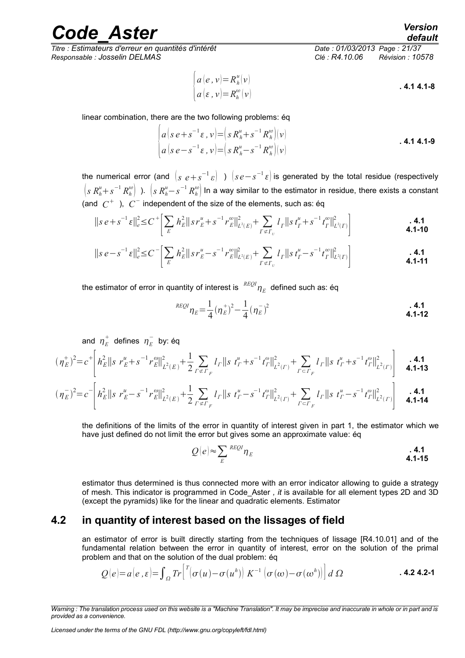*Titre : Estimateurs d'erreur en quantités d'intérêt Date : 01/03/2013 Page : 21/37 Responsable : Josselin DELMAS Clé : R4.10.06 Révision : 10578*

$$
\begin{cases}\na(e, v) = R_h^u(v) \\
a(e, v) = R_h^\infty(v)\n\end{cases}
$$
 **4.1 4.1-8**

linear combination, there are the two following problems: éq

 $\sqrt{ }$ 

$$
\begin{cases}\na\big(s\,e+s^{-1}\,\varepsilon\,,\,\nu\big)=\big(s\,R_h^u+s^{-1}\,R_h^{\omega}\big)(\nu) \\
a\big(s\,e-s^{-1}\,\varepsilon\,,\,\nu\big)=\big(s\,R_h^u-s^{-1}\,R_h^{\omega}\big)(\nu)\n\end{cases}
$$
\n**4.1 4.1-9**

the numerical error (and  $\left( s \right. e+s^{-1}\varepsilon \right)\;$  )  $\left( se-s^{-1}\varepsilon \right)$  is generated by the total residue (respectively  $\left(s\;R_h^u+s^{-1}\,R_h^\omega\right)$  ).  $\,\left(s\;R_h^u-s^{-1}\,R_h^\omega\right)$  In a way similar to the estimator in residue, there exists a constant (and  $\ C^+$  ),  $\ C^-$  independent of the size of the elements, such as: éq

$$
||s e + s^{-1} \varepsilon||_e^2 \leq C^+ \bigg[ \sum_E h_E^2 ||s r_E^u + s^{-1} r_E^{\omega}||_{L^2(E)}^2 + \sum_{\Gamma \not\subset \Gamma_U} l_\Gamma ||s r_\Gamma^u + s^{-1} t_\Gamma^{\omega}||_{L^2(\Gamma)}^2 \bigg]
$$
\n**4.1-10**

$$
||s e - s^{-1} \varepsilon||_e^2 \le C \left[ \sum_E h_E^2 ||s r_E^u - s^{-1} r_E^{\omega}||_{L^2(E)}^2 + \sum_{\Gamma \not\subset \Gamma_U} l_\Gamma ||s r_\Gamma^u - s^{-1} r_\Gamma^{\omega}||_{L^2(\Gamma)}^2 \right]
$$
\n**4.1-11**

the estimator of error in quantity of interest is  $\mathit{\ ^{REQI}}_{\mathcal{H}_E}$  defined such as: éq

$$
{}^{REQI}\eta_E = \frac{1}{4} (\eta_E^+)^2 - \frac{1}{4} (\eta_E^-)^2
$$
\n**4.1-12**

and  $\eta^+_E$  defines  $\eta^-_E$  by: éq

$$
(\eta_E^+)^2 = c^+ \left[ h_E^2 ||s r_E^u + s^{-1} r_E^{\omega}||_{L^2(E)}^2 + \frac{1}{2} \sum_{\Gamma \notin \Gamma_F} l_{\Gamma} ||s r_F^u + s^{-1} r_F^{\omega}||_{L^2(\Gamma)}^2 + \sum_{\Gamma \in \Gamma_F} l_{\Gamma} ||s r_F^u + s^{-1} r_F^{\omega}||_{L^2(\Gamma)}^2 \right]
$$

$$
(\eta_E^{-})^2 = c^{-} \left[ h_E^2 ||s r_E^u - s^{-1} r_E^{\omega}||_{L^2(E)}^2 + \frac{1}{2} \sum_{\Gamma \not\subset \Gamma_F} l_{\Gamma} ||s r_F^u - s^{-1} r_F^{\omega}||_{L^2(\Gamma)}^2 + \sum_{\Gamma \subset \Gamma_F} l_{\Gamma} ||s r_F^u - s^{-1} r_F^{\omega}||_{L^2(\Gamma)}^2 \right]
$$

the definitions of the limits of the error in quantity of interest given in part 1, the estimator which we have just defined do not limit the error but gives some an approximate value: éq

$$
Q(e) \approx \sum_{E} {^{REQI}} \eta_{E}
$$

estimator thus determined is thus connected more with an error indicator allowing to guide a strategy of mesh. This indicator is programmed in Code\_Aster *, it* is available for all element types 2D and 3D (except the pyramids) like for the linear and quadratic elements. Estimator

### **4.2 in quantity of interest based on the lissages of field**

<span id="page-20-0"></span>an estimator of error is built directly starting from the techniques of lissage [R4.10.01] and of the fundamental relation between the error in quantity of interest, error on the solution of the primal problem and that on the solution of the dual problem: éq

$$
Q(e) = a(e, \varepsilon) = \int_{\Omega} Tr \left[ {}^{T}(\sigma(u) - \sigma(u^{h})) K^{-1} (\sigma(\omega) - \sigma(\omega^{h})) \right] d\Omega
$$

*Licensed under the terms of the GNU FDL (http://www.gnu.org/copyleft/fdl.html)*

*Warning : The translation process used on this website is a "Machine Translation". It may be imprecise and inaccurate in whole or in part and is provided as a convenience.*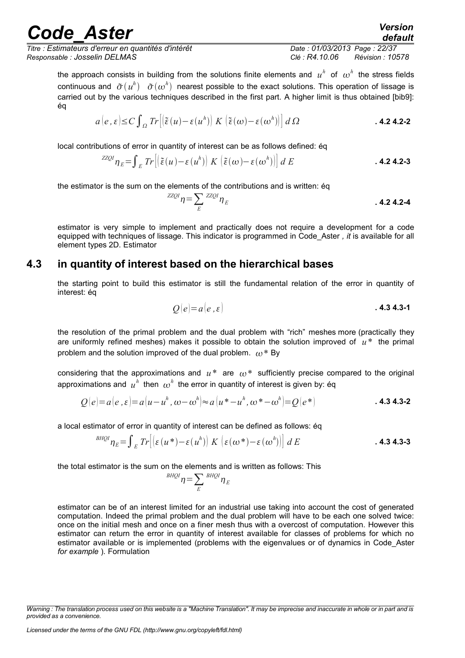*Titre : Estimateurs d'erreur en quantités d'intérêt Date : 01/03/2013 Page : 22/37 Responsable : Josselin DELMAS Clé : R4.10.06 Révision : 10578*

*default*

the approach consists in building from the solutions finite elements and  $u^h$  of  $\omega^h$  the stress fields continuous and  $\tilde{\sigma}(u^h)$   $\tilde{\sigma}(\omega^h)$  nearest possible to the exact solutions. This operation of lissage is carried out by the various techniques described in the first part. A higher limit is thus obtained [bib9]: éq

$$
a(e,\varepsilon) \leq C \int_{\Omega} Tr \left[ \left( \tilde{\varepsilon}(u) - \varepsilon(u^h) \right) K \left( \tilde{\varepsilon}(\omega) - \varepsilon(\omega^h) \right) \right] d\Omega \tag{4.2-2}
$$

local contributions of error in quantity of interest can be as follows defined: éq

$$
^{ZZQI}\eta_E = \int_E Tr\left[\left(\tilde{\varepsilon}(u) - \varepsilon(u^h)\right) K \left(\tilde{\varepsilon}(\omega) - \varepsilon(\omega^h)\right)\right] dE
$$
\n**4.24.2-3**

the estimator is the sum on the elements of the contributions and is written: éq

$$
ZZQI} \eta = \sum_{E} ZZQI} \eta_{E} \tag{4.2-4}
$$

estimator is very simple to implement and practically does not require a development for a code equipped with techniques of lissage. This indicator is programmed in Code\_Aster *, it* is available for all element types 2D. Estimator

### **4.3 in quantity of interest based on the hierarchical bases**

<span id="page-21-0"></span>the starting point to build this estimator is still the fundamental relation of the error in quantity of interest: éq

$$
Q(e) = a(e, \varepsilon)
$$
 **4.3 4.3-1**

the resolution of the primal problem and the dual problem with "rich" meshes more (practically they are uniformly refined meshes) makes it possible to obtain the solution improved of *u*\* the primal problem and the solution improved of the dual problem.  $\omega^*$  By

considering that the approximations and  $u^*$  are  $\omega^*$  sufficiently precise compared to the original approximations and  $u^h$  then  $\omega^h$  the error in quantity of interest is given by: éq

$$
Q(e) = a(e, \varepsilon) = a(u - u^h, \omega - \omega^h) \approx a(u^* - u^h, \omega^* - \omega^h) = Q(e^*)
$$
**4.34.3-2**

a local estimator of error in quantity of interest can be defined as follows: éq

$$
{}^{BHQI}\eta_E = \int_E Tr\Big[\Big(\varepsilon\left(u^*\right) - \varepsilon\left(u^h\right)\Big) K\left(\varepsilon\left(\omega^*\right) - \varepsilon\left(\omega^h\right)\right)\Big] dE \qquad .4.34.3-3
$$

the total estimator is the sum on the elements and is written as follows: This

$$
^{BHQI} \eta = \sum_{E} {^{BHQI}} \eta_E
$$

estimator can be of an interest limited for an industrial use taking into account the cost of generated computation. Indeed the primal problem and the dual problem will have to be each one solved twice: once on the initial mesh and once on a finer mesh thus with a overcost of computation. However this estimator can return the error in quantity of interest available for classes of problems for which no estimator available or is implemented (problems with the eigenvalues or of dynamics in Code\_Aster *for example* ). Formulation

*Warning : The translation process used on this website is a "Machine Translation". It may be imprecise and inaccurate in whole or in part and is provided as a convenience.*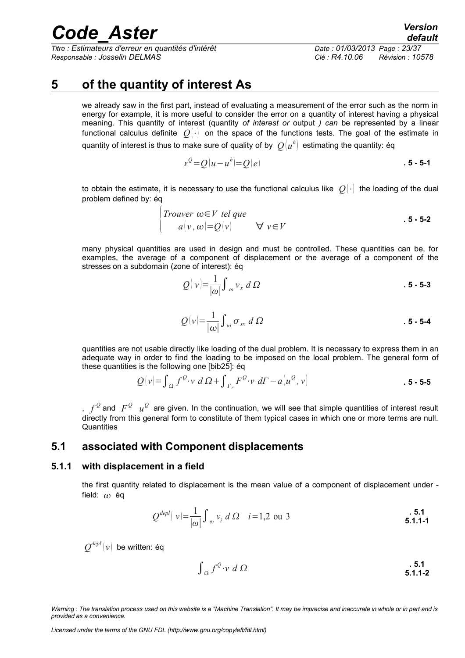*Titre : Estimateurs d'erreur en quantités d'intérêt Date : 01/03/2013 Page : 23/37 Responsable : Josselin DELMAS Clé : R4.10.06 Révision : 10578*

*default*

### **5 of the quantity of interest As**

<span id="page-22-2"></span>we already saw in the first part, instead of evaluating a measurement of the error such as the norm in energy for example, it is more useful to consider the error on a quantity of interest having a physical meaning. This quantity of interest (quantity *of interest or* output *) can* be represented by a linear functional calculus definite  $Q(\cdot)$  on the space of the functions tests. The goal of the estimate in quantity of interest is thus to make sure of quality of by  $\ \varrho(u^{\hbar})\,$  estimating the quantity: éq

$$
\varepsilon^{\mathcal{Q}} = Q(u - u^h) = Q(e)
$$

to obtain the estimate, it is necessary to use the functional calculus like  $O(\cdot)$  the loading of the dual problem defined by: éq

$$
\begin{cases}\nTrouver \tomega ∈ V \ttel que \\
a(v, ω) = Q(v) \\
\end{cases} \quad \forall \t v ∈ V
$$
\n5 - 5-2

many physical quantities are used in design and must be controlled. These quantities can be, for examples, the average of a component of displacement or the average of a component of the stresses on a subdomain (zone of interest): éq

$$
Q(v) = \frac{1}{|\omega|} \int_{-\infty}^{\infty} v_x \, d\Omega \tag{5 - 5-3}
$$

$$
Q(v) = \frac{1}{|\omega|} \int_{\omega} \sigma_{xx} d\Omega
$$

quantities are not usable directly like loading of the dual problem. It is necessary to express them in an adequate way in order to find the loading to be imposed on the local problem. The general form of these quantities is the following one [bib25]: éq

$$
Q(v) = \int_{\Omega} f^{\mathcal{Q}} \cdot v \ d\Omega + \int_{\Gamma_F} F^{\mathcal{Q}} \cdot v \ d\Gamma - a(u^{\mathcal{Q}}, v)
$$
\n5 - 5-5

,  $f^{\mathcal{Q}}$  and  $\ F^{\mathcal{Q}}$   $\ u^{\mathcal{Q}}$  are given. In the continuation, we will see that simple quantities of interest result directly from this general form to constitute of them typical cases in which one or more terms are null. **Quantities** 

### <span id="page-22-1"></span>**5.1 associated with Component displacements**

#### **5.1.1 with displacement in a field**

<span id="page-22-0"></span>the first quantity related to displacement is the mean value of a component of displacement under field:  $\omega$  éq

$$
Q^{depl}(|v| = \frac{1}{|\omega|} \int_{-\infty}^{\infty} v_i \ d\Omega \quad i = 1, 2 \text{ ou } 3
$$

 $\varrho^{_{depl}}(v)$  be written: éq

$$
\int_{\Omega} f^2 \cdot v \, d\Omega \qquad \qquad 5.1
$$

*Warning : The translation process used on this website is a "Machine Translation". It may be imprecise and inaccurate in whole or in part and is provided as a convenience.*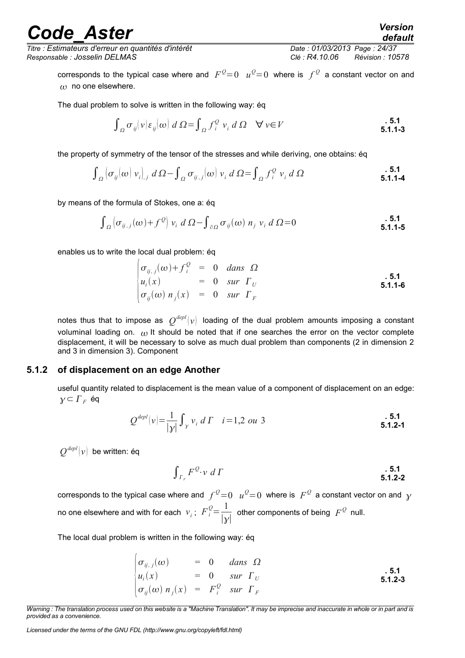*Titre : Estimateurs d'erreur en quantités d'intérêt Date : 01/03/2013 Page : 24/37 Responsable : Josselin DELMAS Clé : R4.10.06 Révision : 10578*

*default*

corresponds to the typical case where and  $F^{\mathcal{Q}}=0$   $u^{\mathcal{Q}}=0$  where is  $f^{\mathcal{Q}}$  a constant vector on and  $\omega$  no one elsewhere.

The dual problem to solve is written in the following way: éq

$$
\int_{\Omega} \sigma_{ij}(\nu) \varepsilon_{ij}(\omega) d\Omega = \int_{\Omega} f_i^Q \nu_i d\Omega \quad \forall \nu \in V
$$

the property of symmetry of the tensor of the stresses and while deriving, one obtains: éq

$$
\int_{\Omega} \left[ \sigma_{ij}(\omega) \, v_i \right]_{,j} \, d\,\Omega - \int_{\Omega} \sigma_{ij,j}(\omega) \, v_i \, d\,\Omega = \int_{\Omega} f_i^Q \, v_i \, d\,\Omega \tag{5.1.1-4}
$$

by means of the formula of Stokes, one a: éq

$$
\int_{\Omega} \left[ \sigma_{ij,j}(\omega) + f^{\mathcal{Q}} \right] v_i \ d \Omega - \int_{\partial \Omega} \sigma_{ij}(\omega) \ n_j \ v_i \ d \Omega = 0
$$

enables us to write the local dual problem: éq

$$
\begin{cases}\n\sigma_{ij,j}(\omega) + f_i^Q = 0 & \text{dans } \Omega \\
u_i(x) = 0 & \text{sur } \Gamma_U \\
\sigma_{ij}(\omega) \; n_j(x) = 0 & \text{sur } \Gamma_F\n\end{cases}
$$
\n5.1.1-6

notes thus that to impose as  $|Q^{depl}|v\rangle$  loading of the dual problem amounts imposing a constant voluminal loading on.  $\omega$  It should be noted that if one searches the error on the vector complete displacement, it will be necessary to solve as much dual problem than components (2 in dimension 2 and 3 in dimension 3). Component

#### **5.1.2 of displacement on an edge Another**

<span id="page-23-0"></span>useful quantity related to displacement is the mean value of a component of displacement on an edge:  $γ ⊂ Γ<sub>F</sub>$  éq

$$
Q^{depl}(v) = \frac{1}{|y|} \int_{y} v_i \ dT \quad i = 1, 2 \ ou \ 3
$$

 $\varrho^{\scriptscriptstyle{\mathit{depl}}}[v]$  be written: éq

$$
\int_{\Gamma_F} F^{\mathcal{Q}} \cdot \mathbf{v} \ d\Gamma
$$

corresponds to the typical case where and  $f^{\mathcal{Q}}=0$   $u^{\mathcal{Q}}=0$  where is  $\ F^{\mathcal{Q}}$  a constant vector on and  $\ \gamma$ no one elsewhere and with for each  $v_i$ ;  $F_i^Q = \frac{1}{2}$  $\frac{1}{|y|}$  other components of being  $F^{\mathcal{Q}}$  null.

The local dual problem is written in the following way: éq

$$
\begin{array}{rcl}\n\sigma_{ij,j}(\omega) & = & 0 & \text{dans} \quad \Omega \\
u_i(x) & = & 0 & \text{sur} \quad \Gamma_U \\
\sigma_{ij}(\omega) \, n_j(x) & = & F_i^Q \quad \text{sur} \quad \Gamma_F\n\end{array}\n\tag{5.1.2-3}
$$

*Licensed under the terms of the GNU FDL (http://www.gnu.org/copyleft/fdl.html)*

*Warning : The translation process used on this website is a "Machine Translation". It may be imprecise and inaccurate in whole or in part and is provided as a convenience.*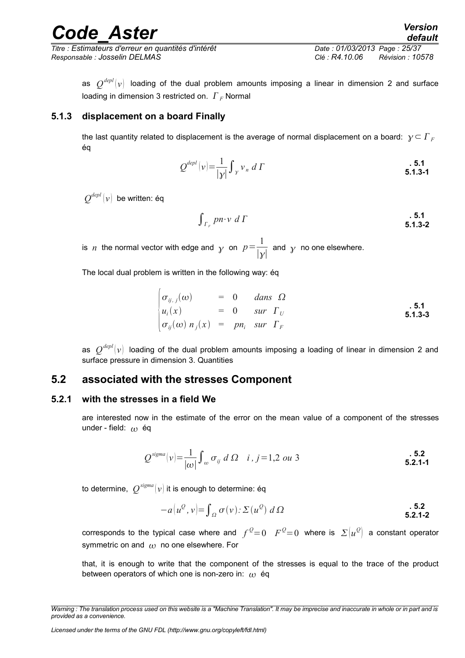*Titre : Estimateurs d'erreur en quantités d'intérêt Date : 01/03/2013 Page : 25/37 Responsable : Josselin DELMAS Clé : R4.10.06 Révision : 10578*

as  $\mathcal{Q}^{depl} (v)$  loading of the dual problem amounts imposing a linear in dimension 2 and surface loading in dimension 3 restricted on.  $\Gamma_F$  Normal

#### **5.1.3 displacement on a board Finally**

<span id="page-24-2"></span>the last quantity related to displacement is the average of normal displacement on a board:  $\gamma \subset \Gamma_F$ éq

$$
Q^{depl}(v) = \frac{1}{|\mathcal{Y}|} \int_{\mathcal{Y}} v_n \ d\Gamma
$$

 $\varrho^{_{depl}}(v)$  be written: éq

$$
\int_{\Gamma_F} p n \cdot v \ d\Gamma
$$

is *n* the normal vector with edge and  $\gamma$  on  $p = \frac{1}{1-p}$  $\frac{1}{|y|}$  and y no one elsewhere.

The local dual problem is written in the following way: éq

$$
\begin{cases}\n\sigma_{ij,j}(\omega) &= 0 & \text{dans } \Omega \\
u_i(x) &= 0 & \text{sur } \Gamma_U \\
\sigma_{ij}(\omega) \, n_j(x) &= p n_i & \text{sur } \Gamma_F\n\end{cases}
$$
\n5.1.3-3

<span id="page-24-1"></span>as  $\ \mathcal{Q}^{depl}(v) \ \$ loading of the dual problem amounts imposing a loading of linear in dimension 2 and surface pressure in dimension 3. Quantities

### **5.2 associated with the stresses Component**

#### **5.2.1 with the stresses in a field We**

<span id="page-24-0"></span>are interested now in the estimate of the error on the mean value of a component of the stresses under - field:  $\omega$  éq

$$
Q^{\text{sigma}}|v| = \frac{1}{|\omega|} \int_{-\infty}^{\infty} \sigma_{ij} \ d\ \Omega \quad i, j = 1, 2 \ \text{ou } 3
$$

to determine,  $\ \mathcal{Q}^{sigma}(\nu)$  it is enough to determine: éq

$$
-a\big(u^{\mathcal{Q}},v\big)=\int_{\Omega}\sigma(v)\colon\Sigma\left(u^{\mathcal{Q}}\right)d\Omega
$$
\n**5.2.**\n**5.2.**\n**5.2.**

corresponds to the typical case where and  $f^{\mathcal{Q}}{=}0$   $F^{\mathcal{Q}}{=}0$  where is  $\varSigma[u^{\mathcal{Q}}]$  a constant operator symmetric on and  $\omega$  no one elsewhere. For

that, it is enough to write that the component of the stresses is equal to the trace of the product between operators of which one is non-zero in:  $\omega$  éq

*Warning : The translation process used on this website is a "Machine Translation". It may be imprecise and inaccurate in whole or in part and is provided as a convenience.*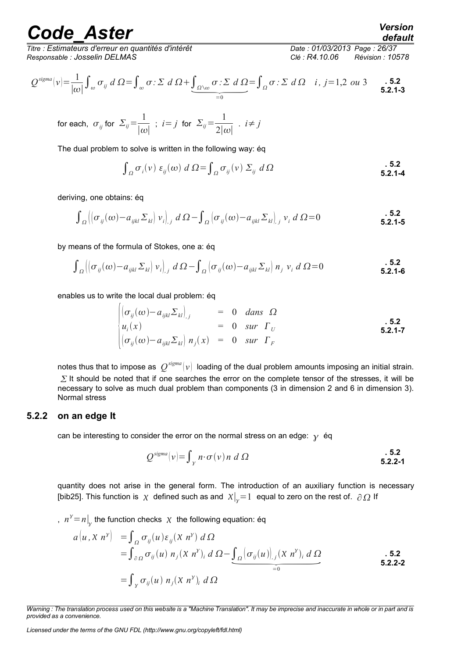*Titre : Estimateurs d'erreur en quantités d'intérêt Date : 01/03/2013 Page : 26/37 Responsable : Josselin DELMAS Clé : R4.10.06 Révision : 10578*

*Q sigma v* = 1 ∣∣ ∫ *ij <sup>d</sup>* =∫ *: <sup>d</sup>* ∫∖ *: <sup>d</sup>* =0 <sup>=</sup>∫ *: d i , j*=1,2 *ou* 3 **. 5.2 5.2.1-3**

for each, 
$$
\sigma_{ij}
$$
 for  $\Sigma_{ij} = \frac{1}{|\omega|}$ ;  $i = j$  for  $\Sigma_{ij} = \frac{1}{2|\omega|}$ .  $i \neq j$ 

The dual problem to solve is written in the following way: éq

$$
\int_{\Omega} \sigma_i(v) \varepsilon_{ij}(\omega) d\Omega = \int_{\Omega} \sigma_{ij}(v) \Sigma_{ij} d\Omega
$$
\n**5.2.1-4**

deriving, one obtains: éq

$$
\int_{\Omega} \left| \left( \sigma_{ij}(\omega) - a_{ijkl} \Sigma_{kl} \right) v_i \right|_{,j} d\Omega - \int_{\Omega} \left| \sigma_{ij}(\omega) - a_{ijkl} \Sigma_{kl} \right|_{,j} v_i d\Omega = 0
$$

by means of the formula of Stokes, one a: éq

$$
\int_{\Omega} \left| \left( \sigma_{ij}(\omega) - a_{ijkl} \Sigma_{kl} \right) v_i \right|, d\Omega - \int_{\Omega} \left( \sigma_{ij}(\omega) - a_{ijkl} \Sigma_{kl} \right) n_j v_i d\Omega = 0
$$

enables us to write the local dual problem: éq

$$
\begin{cases}\n(\sigma_{ij}(\omega) - a_{ijkl} \Sigma_{kl})_{,j} & = 0 \quad \text{dans} \quad \Omega \\
u_i(x) & = 0 \quad \text{sur} \quad \Gamma_U \\
(\sigma_{ij}(\omega) - a_{ijkl} \Sigma_{kl}) \quad n_j(x) & = 0 \quad \text{sur} \quad \Gamma_F\n\end{cases}
$$
\n5.2.1-7

notes thus that to impose as  $\ \mathcal{Q}^{sigma}(\nu) \ \$  loading of the dual problem amounts imposing an initial strain.  $\Sigma$  It should be noted that if one searches the error on the complete tensor of the stresses, it will be necessary to solve as much dual problem than components (3 in dimension 2 and 6 in dimension 3). Normal stress

#### **5.2.2 on an edge It**

<span id="page-25-0"></span>can be interesting to consider the error on the normal stress on an edge:  $\gamma$  éq

$$
Q^{\text{sigma}}(v) = \int_{\gamma} n \cdot \sigma(v) \, n \, d \, \Omega
$$

quantity does not arise in the general form. The introduction of an auxiliary function is necessary

[bib25]. This function is 
$$
\chi
$$
 defined such as and  $\chi|_{y} = 1$  equal to zero on the rest of.  $\partial \Omega$  If  
\n
$$
n^{\gamma} = n \Big|_{y}
$$
 the function checks  $\chi$  the following equation: éq  
\n
$$
a(u, \chi \ n^{\gamma}) = \int_{\Omega} \sigma_{ij}(u) \varepsilon_{ij}(\chi \ n^{\gamma}) d\Omega
$$
\n
$$
= \int_{\partial \Omega} \sigma_{ij}(u) n_{j}(\chi \ n^{\gamma})_{i} d\Omega - \underbrace{\int_{\Omega} (\sigma_{ij}(u))_{,j}(\chi \ n^{\gamma})_{i} d\Omega}_{=0}
$$
\n**5.2.**  
\n5.2.2-2  
\n5.2.2-2

*default*

**. 5.2**

*Warning : The translation process used on this website is a "Machine Translation". It may be imprecise and inaccurate in whole or in part and is provided as a convenience.*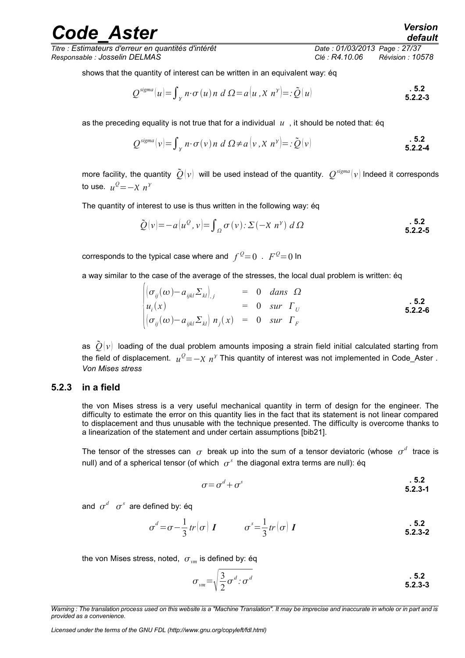to use.  $u^Q = -\chi n^\gamma$ 

The quantity of interest to use is thus written in the following way: éq

$$
\tilde{Q}(v) = -a(u^Q, v) = \int_{\Omega} \sigma(v) \cdot \Sigma(-X \ n^{\gamma}) \ d\Omega
$$
\n5.2.2-5

corresponds to the typical case where and  $f^{\mathcal{Q}}{=}0$  .  $F^{\mathcal{Q}}{=}0$  In

a way similar to the case of the average of the stresses, the local dual problem is written: éq

$$
\begin{cases}\n(\sigma_{ij}(\omega) - a_{ijkl} \Sigma_{kl})_{,j} & = 0 \quad \text{dans} \quad \Omega \\
u_i(x) & = 0 \quad \text{sur} \quad \Gamma_U \\
(\sigma_{ij}(\omega) - a_{ijkl} \Sigma_{kl})_{,n_j(x) = 0 \quad \text{sur} \quad \Gamma_F\n\end{cases}
$$
\n5.2.2-6

as  $\tilde{O}(v)$  loading of the dual problem amounts imposing a strain field initial calculated starting from the field of displacement.  $u^Q\!=\!-\chi\;n^\gamma$  This quantity of interest was not implemented in Code\_Aster *. Von Mises stress*

### **5.2.3 in a field**

<span id="page-26-0"></span>the von Mises stress is a very useful mechanical quantity in term of design for the engineer. The difficulty to estimate the error on this quantity lies in the fact that its statement is not linear compared to displacement and thus unusable with the technique presented. The difficulty is overcome thanks to a linearization of the statement and under certain assumptions [bib21].

The tensor of the stresses can  $\sigma$  break up into the sum of a tensor deviatoric (whose  $\sigma^d$  trace is null) and of a spherical tensor (of which  $\ \sigma^s\,$  the diagonal extra terms are null): éq

$$
\sigma = \sigma^d + \sigma^s \tag{5.2.3-1}
$$

and  $\sigma^d$   $\sigma^s$  are defined by: éq

$$
\sigma^d = \sigma - \frac{1}{3} tr \left( \sigma \right) \boldsymbol{I} \qquad \qquad \sigma^s = \frac{1}{3} tr \left( \sigma \right) \boldsymbol{I} \qquad \qquad \textbf{5.2}
$$

the von Mises stress, noted,  $\sigma_{vm}$  is defined by: éq

$$
\sigma_{vm} = \sqrt{\frac{3}{2}\sigma^d} \cdot \sigma^d \qquad \qquad 5.2
$$

## *Code\_Aster Version*

*Titre : Estimateurs d'erreur en quantités d'intérêt Date : 01/03/2013 Page : 27/37 Responsable : Josselin DELMAS Clé : R4.10.06 Révision : 10578*

shows that the quantity of interest can be written in an equivalent way: éq

$$
Q^{\text{sigma}}[u] = \int_{\gamma} n \cdot \sigma(u) n \ d \Omega = a[u, \chi \ n^{\gamma}] =: \tilde{Q}(u)
$$

as the preceding equality is not true that for a individual  $u$ , it should be noted that: éq

$$
Q^{\text{sigma}}(v) = \int_{\gamma} n \cdot \sigma(v) \, n \, d \Omega \neq a \, (v \, , X \, n^{\gamma}) = : \tilde{Q}(v) \tag{5.2.2-4}
$$

*Warning : The translation process used on this website is a "Machine Translation". It may be imprecise and inaccurate in whole or in part and is provided as a convenience.*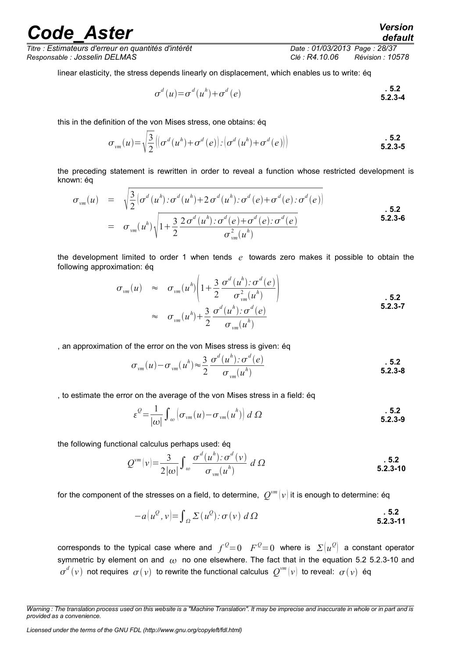*Titre : Estimateurs d'erreur en quantités d'intérêt Date : 01/03/2013 Page : 28/37 Responsable : Josselin DELMAS Clé : R4.10.06 Révision : 10578*

linear elasticity, the stress depends linearly on displacement, which enables us to write: éq

$$
\sigma^{d}(u) = \sigma^{d}(u^{h}) + \sigma^{d}(e)
$$
\n**5.2**\n**5.2-3-4**

this in the definition of the von Mises stress, one obtains: éq

$$
\sigma_{vm}(u) = \sqrt{\frac{3}{2} \left| \left( \sigma^d(u^h) + \sigma^d(e) \right) : \left( \sigma^d(u^h) + \sigma^d(e) \right) \right|}
$$
 5.2  
5.2-3-5

the preceding statement is rewritten in order to reveal a function whose restricted development is known: éq

$$
\sigma_{vm}(u) = \sqrt{\frac{3}{2}} \left[ \sigma^d(u^h) : \sigma^d(u^h) + 2 \sigma^d(u^h) : \sigma^d(e) + \sigma^d(e) : \sigma^d(e) \right]
$$
  
=  $\sigma_{vm}(u^h) \sqrt{1 + \frac{3}{2} \frac{2 \sigma^d(u^h) : \sigma^d(e) + \sigma^d(e) : \sigma^d(e)}{\sigma_{vm}^2(u^h)}}$  5.2.3-6

the development limited to order 1 when tends *e* towards zero makes it possible to obtain the following approximation: éq

$$
\sigma_{vm}(u) \approx \sigma_{vm}(u^h) \left( 1 + \frac{3}{2} \frac{\sigma^d(u^h) : \sigma^d(e)}{\sigma_{vm}^2(u^h)} \right)
$$
\n
$$
\approx \sigma_{vm}(u^h) + \frac{3}{2} \frac{\sigma^d(u^h) : \sigma^d(e)}{\sigma_{vm}(u^h)}
$$
\n5.2.3-7

, an approximation of the error on the von Mises stress is given: éq

$$
\sigma_{vm}(u) - \sigma_{vm}(u^h) \approx \frac{3}{2} \frac{\sigma^d(u^h) \cdot \sigma^d(e)}{\sigma_{vm}(u^h)}
$$

, to estimate the error on the average of the von Mises stress in a field: éq

$$
\varepsilon^{\mathcal{Q}} = \frac{1}{|\omega|} \int_{\omega} \left( \sigma_{vm}(u) - \sigma_{vm}(u^h) \right) d\Omega
$$
\n**5.2.3-9**

the following functional calculus perhaps used: éq

$$
Q^{vm}(v) = \frac{3}{2|\omega|} \int_{\omega} \frac{\sigma^d(u^h) \colon \sigma^d(v)}{\sigma_{vm}(u^h)} d\Omega
$$
\n5.2.3-10

for the component of the stresses on a field, to determine,  $|Q^{vm}(v)|$  it is enough to determine: éq

<span id="page-27-0"></span>
$$
-a(u^Q, v) = \int_{\Omega} \Sigma(u^Q) \colon \sigma(v) \, d\Omega
$$
\n5.2.3-11

corresponds to the typical case where and  $f^{\, \mathcal{Q}}\!\!=\!0$   $F^{\, \mathcal{Q}}\!\!=\!0$  where is  $\varSigma\!\left(u^{\mathcal{Q}}\right)$  a constant operator symmetric by element on and  $\omega$  no one elsewhere. The fact that in the equation 5.2 [5.2.3-10](#page-27-0) and  $\sigma^d\left(v\right)$  not requires  $\sigma(v)$  to rewrite the functional calculus  $\mathcal{Q}^{vm}\left(v\right)$  to reveal:  $\sigma(v)$  éq

*Warning : The translation process used on this website is a "Machine Translation". It may be imprecise and inaccurate in whole or in part and is provided as a convenience.*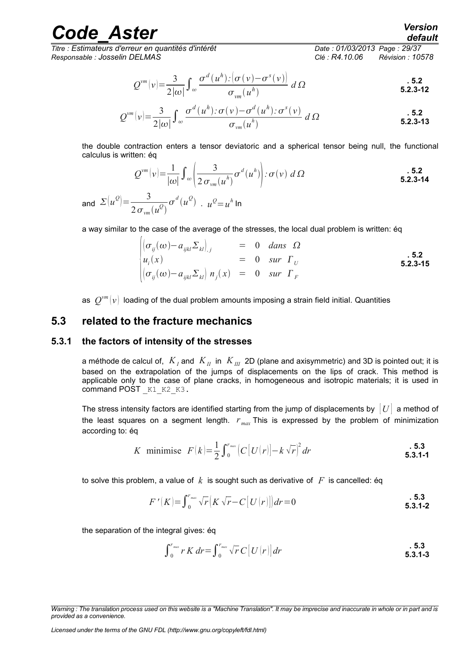*Titre : Estimateurs d'erreur en quantités d'intérêt Date : 01/03/2013 Page : 29/37 Responsable : Josselin DELMAS Clé : R4.10.06 Révision : 10578*

$$
Q^{\nu m}(\nu) = \frac{3}{2|\omega|} \int_{\omega} \frac{\sigma^d(u^h) \cdot (\sigma(\nu) - \sigma^s(\nu))}{\sigma_{\nu m}(u^h)} d\Omega
$$

$$
Q^{\nu m}(\nu) = \frac{3}{2|\omega|} \int_{\omega} \frac{\sigma^d(u^h) : \sigma(\nu) - \sigma^d(u^h) : \sigma^s(\nu)}{\sigma_{\nu m}(u^h)} d\Omega
$$

the double contraction enters a tensor deviatoric and a spherical tensor being null, the functional calculus is written: éq

$$
Q^{vm}(v) = \frac{1}{|\omega|} \int_{\omega} \left( \frac{3}{2 \sigma_{vm}(u^h)} \sigma^d(u^h) \right) : \sigma(v) \ d\Omega
$$

and  $\Sigma(u^{\mathcal{Q}}) = \frac{3}{2}$  $2\sigma_{\rm \nu m}(u^{\cal Q})$  $\sigma^d(u^{\mathcal{Q}})$  .  $u^{\mathcal{Q}} = u^h$  In

a way similar to the case of the average of the stresses, the local dual problem is written: éq

$$
\begin{array}{rcl}\n\left| \left( \sigma_{ij}(\omega) - a_{ijkl} \Sigma_{kl} \right)_{,j} \right| & = & 0 \quad \text{dans} \quad \Omega \\
u_i(x) & = & 0 \quad \text{sur} \quad \Gamma_U\n\end{array}
$$
\n
$$
\begin{array}{rcl}\n\left| \sigma_{ij}(\omega) - a_{ijkl} \Sigma_{kl} \right| n_j(x) & = & 0 \quad \text{sur} \quad \Gamma_F\n\end{array}
$$
\n5.2.3-15

<span id="page-28-1"></span>as  $\ \mathcal{Q}^{vm}(\nu) \,$  loading of the dual problem amounts imposing a strain field initial. Quantities

### **5.3 related to the fracture mechanics**

#### **5.3.1 the factors of intensity of the stresses**

<span id="page-28-0"></span>a méthode de calcul of, *K<sup>I</sup>* and *KII* in *KIII* 2D (plane and axisymmetric) and 3D is pointed out; it is based on the extrapolation of the jumps of displacements on the lips of crack. This method is applicable only to the case of plane cracks, in homogeneous and isotropic materials; it is used in command POST  $K1$  K2 K3.

The stress intensity factors are identified starting from the jump of displacements by  $|U|$  a method of the least squares on a segment length. *r max* This is expressed by the problem of minimization according to: éq

K minimise 
$$
F(k) = \frac{1}{2} \int_{0}^{r_{max}} (C[U(r)] - k \sqrt{r})^2 dr
$$
 5.3.1-1

to solve this problem, a value of  $k$  is sought such as derivative of  $F$  is cancelled: éq

$$
F'(K) = \int_0^{r_{max}} \sqrt{r} \left( K \sqrt{r} - C \left[ U(r) \right] \right) dr = 0
$$
\n**5.3.1-2**

the separation of the integral gives: éq

$$
\int_0^{r_{max}} r K dr = \int_0^{r_{max}} \sqrt{r} C [U(r)] dr
$$

*Licensed under the terms of the GNU FDL (http://www.gnu.org/copyleft/fdl.html)*

*default*

*Warning : The translation process used on this website is a "Machine Translation". It may be imprecise and inaccurate in whole or in part and is provided as a convenience.*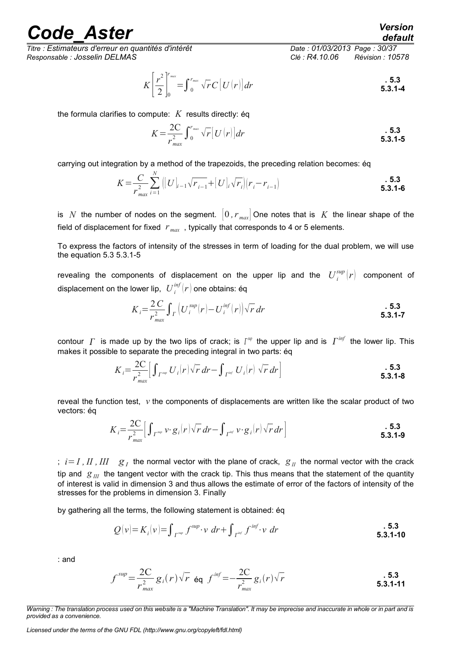*Titre : Estimateurs d'erreur en quantités d'intérêt Date : 01/03/2013 Page : 30/37 Responsable : Josselin DELMAS Clé : R4.10.06 Révision : 10578*

<span id="page-29-0"></span>

$$
K\left[\frac{r^2}{2}\right]_0^{r_{max}} = \int_0^{r_{max}} \sqrt{r} C\left[U(r)\right] dr
$$

the formula clarifies to compute: *K* results directly: éq

$$
K = \frac{2C}{r_{max}^2} \int_0^{r_{max}} \sqrt{r} \left[ U(r) \right] dr
$$

carrying out integration by a method of the trapezoids, the preceding relation becomes: éq

$$
K = \frac{C}{r_{max}^2} \sum_{i=1}^{N} \left( [U]_{i-1} \sqrt{r_{i-1}} + [U]_i \sqrt{r_i} \right) (r_i - r_{i-1})
$$
\n**5.3**

is *N* the number of nodes on the segment.  $[0, r_{max}]$  One notes that is *K* the linear shape of the field of displacement for fixed  $r_{max}$ , typically that corresponds to 4 or 5 elements.

To express the factors of intensity of the stresses in term of loading for the dual problem, we will use the equation 5.3 [5.3.1-5](#page-29-0)

revealing the components of displacement on the upper lip and the  $\left|U^{sup}_i\right| r\right|$  component of displacement on the lower lip,  $\left|U^{inf}_i(r)\right|$  one obtains: éq

$$
K_{i} = \frac{2 C}{r_{max}^{2}} \int_{\Gamma} \left( U_{i}^{sup}(r) - U_{i}^{inf}(r) \right) \sqrt{r} dr
$$
\n**5.3**

contour  $\varGamma$  is made up by the two lips of crack; is  $\varGamma^{sp}$  the upper lip and is  $\varGamma^{inf}$  the lower lip. This makes it possible to separate the preceding integral in two parts: éq

$$
K_{i} = \frac{2C}{r_{max}^{2}} \Big[ \int_{\Gamma^{sup}} U_{i}(r) \sqrt{r} \, dr - \int_{\Gamma^{inf}} U_{i}(r) \, \sqrt{r} \, dr \Big]
$$
\n**5.3**

reveal the function test,  $v$  the components of displacements are written like the scalar product of two vectors: éq

$$
K_{i} = \frac{2C}{r_{max}^{2}} \Big[ \int_{\Gamma^{sup}} v \cdot g_{i}(r) \sqrt{r} dr - \int_{\Gamma^{inf}} v \cdot g_{i}(r) \sqrt{r} dr \Big]
$$
\n**5.3**

;  $i = I$  ,  $II$  ,  $III$   $g_I$  the normal vector with the plane of crack,  $g_{II}$  the normal vector with the crack tip and  $g_{II}$  the tangent vector with the crack tip. This thus means that the statement of the quantity of interest is valid in dimension 3 and thus allows the estimate of error of the factors of intensity of the stresses for the problems in dimension 3. Finally

by gathering all the terms, the following statement is obtained: éq

$$
Q(v) = K_i(v) = \int_{\Gamma^{\text{sup}}} f^{\text{sup}} \cdot v \, dr + \int_{\Gamma^{\text{inf}}} f^{\text{inf}} \cdot v \, dr \tag{5.3.1-10}
$$

: and

$$
f^{sup} = \frac{2C}{r_{max}^2} g_i(r) \sqrt{r} \quad \text{Eq} \quad f^{inf} = -\frac{2C}{r_{max}^2} g_i(r) \sqrt{r}
$$

*Warning : The translation process used on this website is a "Machine Translation". It may be imprecise and inaccurate in whole or in part and is provided as a convenience.*

*Licensed under the terms of the GNU FDL (http://www.gnu.org/copyleft/fdl.html)*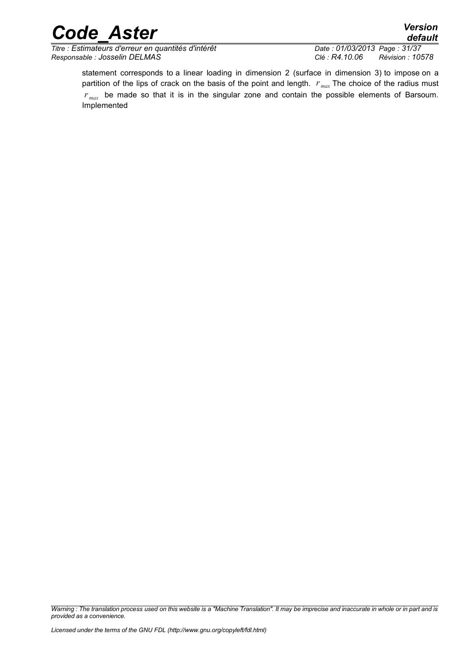*Titre : Estimateurs d'erreur en quantités d'intérêt Date : 01/03/2013 Page : 31/37 Responsable : Josselin DELMAS Clé : R4.10.06 Révision : 10578*

statement corresponds to a linear loading in dimension 2 (surface in dimension 3) to impose on a partition of the lips of crack on the basis of the point and length. *r max* The choice of the radius must *r max* be made so that it is in the singular zone and contain the possible elements of Barsoum. Implemented

*Warning : The translation process used on this website is a "Machine Translation". It may be imprecise and inaccurate in whole or in part and is provided as a convenience.*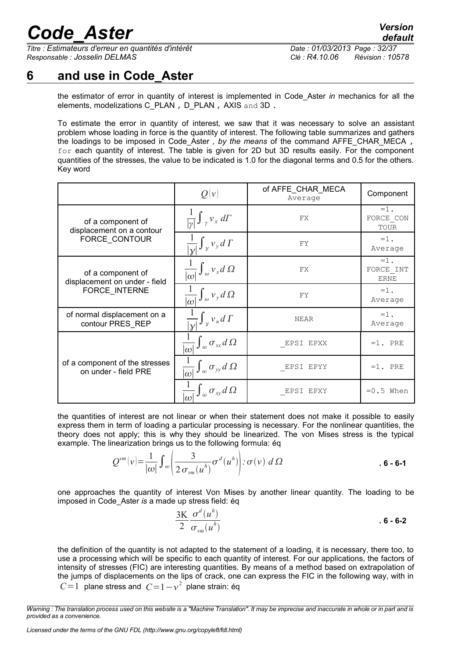*Titre : Estimateurs d'erreur en quantités d'intérêt Date : 01/03/2013 Page : 32/37 Responsable : Josselin DELMAS Clé : R4.10.06 Révision : 10578*

### **6 and use in Code\_Aster**

<span id="page-31-0"></span>the estimator of error in quantity of interest is implemented in Code\_Aster *in* mechanics for all the elements, modelizations C\_PLAN , D\_PLAN , AXIS and 3D.

To estimate the error in quantity of interest, we saw that it was necessary to solve an assistant problem whose loading in force is the quantity of interest. The following table summarizes and gathers the loadings to be imposed in Code\_Aster *, by the means* of the command AFFE\_CHAR\_MECA , for each quantity of interest. The table is given for 2D but 3D results easily. For the component quantities of the stresses, the value to be indicated is 1.0 for the diagonal terms and 0.5 for the others. Key word

|                                                        | Q(v)                                                      | of AFFE CHAR MECA<br>Average | Component                          |
|--------------------------------------------------------|-----------------------------------------------------------|------------------------------|------------------------------------|
| of a component of<br>displacement on a contour         | $\frac{1}{ y } \int_{y} v_x d\Gamma$                      | FX                           | $=1$ .<br>FORCE CON<br>TOUR        |
| FORCE CONTOUR                                          | $\frac{1}{ v }\int_{v}v_{y}d\Gamma$                       | FY                           | $=1$ .<br>Average                  |
| of a component of<br>displacement on under - field     | $\frac{1}{ \omega }\int_{\omega}v_{x}d\Omega$             | FX                           | $=1$ .<br>FORCE INT<br><b>ERNE</b> |
| FORCE_INTERNE                                          | $\int_{\omega} v_{y} d\Omega$<br>$ \omega $               | FY                           | $=1$ .<br>Average                  |
| of normal displacement on a<br>contour PRES_REP        | $\frac{1}{ v } \int_{\gamma} v_n d\Gamma$                 | <b>NEAR</b>                  | $=1$ .<br>Average                  |
|                                                        | $\frac{1}{ \omega } \int_{\omega} \sigma_{xx} d\Omega$    | EPSI EPXX                    | $=1.$ PRE                          |
| of a component of the stresses<br>on under - field PRE | $\overline{ \omega }$ $\int_{\omega} \sigma_{yy} d\Omega$ | EPSI EPYY                    | $=1.$ PRE                          |
|                                                        | $\overline{  \omega  } J_{\omega} \sigma_{xy} d\Omega$    | EPSI<br>EPXY                 | $=0.5$ When                        |

the quantities of interest are not linear or when their statement does not make it possible to easily express them in term of loading a particular processing is necessary. For the nonlinear quantities, the theory does not apply; this is why they should be linearized. The von Mises stress is the typical example. The linearization brings us to the following formula: éq

$$
Q^{\nu m}(\nu) = \frac{1}{|\omega|} \int_{\omega} \left( \frac{3}{2 \sigma_{\nu m}(u^h)} \sigma^d(u^h) \right) : \sigma(\nu) \ d\Omega \qquad .6-6-1
$$

one approaches the quantity of interest Von Mises by another linear quantity. The loading to be imposed in Code\_Aster *is* a made up stress field: éq

$$
\frac{3K}{2} \frac{\sigma^d(u^h)}{\sigma_{vm}(u^h)}
$$

the definition of the quantity is not adapted to the statement of a loading, it is necessary, there too, to use a processing which will be specific to each quantity of interest. For our applications, the factors of intensity of stresses (FIC) are interesting quantities. By means of a method based on extrapolation of the jumps of displacements on the lips of crack, one can express the FIC in the following way, with in  $C=1$  plane stress and  $C=1-v^2$  plane strain: éq

*Warning : The translation process used on this website is a "Machine Translation". It may be imprecise and inaccurate in whole or in part and is provided as a convenience.*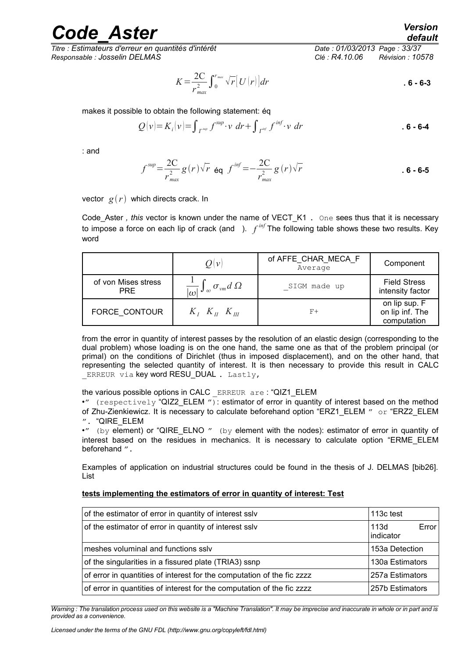*Titre : Estimateurs d'erreur en quantités d'intérêt Date : 01/03/2013 Page : 33/37 Responsable : Josselin DELMAS Clé : R4.10.06 Révision : 10578*

*default*

$$
K = \frac{2C}{r_{max}^2} \int_0^{r_{max}} \sqrt{r} \left[ U(r) \right] dr
$$

makes it possible to obtain the following statement: éq

$$
Q(v) = K_i(v) = \int_{\Gamma^{sup}} f^{sup} \cdot v \, dr + \int_{\Gamma^{inf}} f^{inf} \cdot v \, dr \qquad . 6 - 6 - 4
$$

: and

$$
f^{sup} = \frac{2C}{r_{max}^2} g(r) \sqrt{r} \text{ éq } f^{inf} = -\frac{2C}{r_{max}^2} g(r) \sqrt{r}
$$

vector  $g(r)$  which directs crack. In

Code\_Aster *, this* vector is known under the name of VECT\_K1 . One sees thus that it is necessary to impose a force on each lip of crack (and ). *f inf* The following table shows these two results. Key word

|                                   | $O \! \mid \! \nu \! \mid$                          | of AFFE CHAR MECA F<br>Average | Component                                       |
|-----------------------------------|-----------------------------------------------------|--------------------------------|-------------------------------------------------|
| of von Mises stress<br><b>PRE</b> | $\frac{1}{ \omega }\int_{\omega}\sigma_{vm}d\Omega$ | SIGM made up                   | <b>Field Stress</b><br>intensity factor         |
| FORCE CONTOUR                     | $K_L$ , $K_H$ , $K_{\overline{H}}$                  | $F+$                           | on lip sup. F<br>on lip inf. The<br>computation |

from the error in quantity of interest passes by the resolution of an elastic design (corresponding to the dual problem) whose loading is on the one hand, the same one as that of the problem principal (or primal) on the conditions of Dirichlet (thus in imposed displacement), and on the other hand, that representing the selected quantity of interest. It is then necessary to provide this result in CALC ERREUR via key word RESU\_DUAL. Lastly,

#### the various possible options in CALC \_ERREUR are : "QIZ1\_ELEM

•" (respectively "QIZ2\_ELEM "): estimator of error in quantity of interest based on the method of Zhu-Zienkiewicz. It is necessary to calculate beforehand option "ERZ1\_ELEM " or "ERZ2\_ELEM ". "QIRE\_ELEM

• $"$  (by element) or "QIRE\_ELNO  $"$  (by element with the nodes): estimator of error in quantity of interest based on the residues in mechanics. It is necessary to calculate option "ERME\_ELEM beforehand ".

Examples of application on industrial structures could be found in the thesis of J. DELMAS [bib26]. List

#### **tests implementing the estimators of error in quantity of interest: Test**

| of the estimator of error in quantity of interest sslv                                    | 113c test                  |  |  |
|-------------------------------------------------------------------------------------------|----------------------------|--|--|
| of the estimator of error in quantity of interest sslv                                    | 113d<br>Error<br>indicator |  |  |
| meshes voluminal and functions sslv                                                       | 153a Detection             |  |  |
| of the singularities in a fissured plate (TRIA3) ssnp<br>130a Estimators                  |                            |  |  |
| of error in quantities of interest for the computation of the fic zzzz<br>257a Estimators |                            |  |  |
| of error in quantities of interest for the computation of the fic zzzz                    | 257b Estimators            |  |  |

*Warning : The translation process used on this website is a "Machine Translation". It may be imprecise and inaccurate in whole or in part and is provided as a convenience.*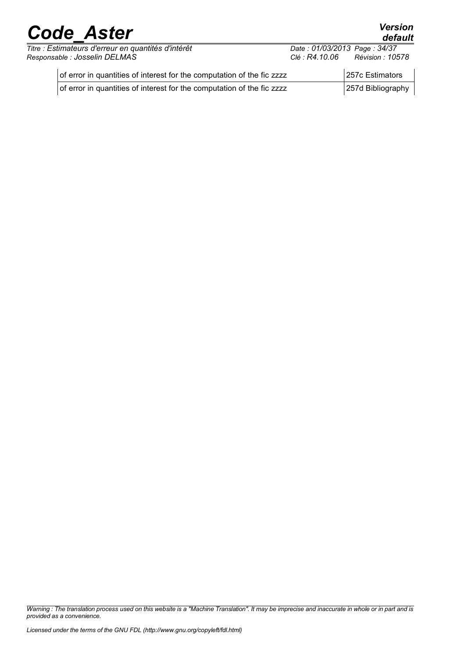*Titre : Estimateurs d'erreur en quantités d'intérêt Date : 01/03/2013 Page : 34/37 Responsable : Josselin DELMAS Clé : R4.10.06 Révision : 10578*

*default*

| of error in quantities of interest for the computation of the fic zzzz | 257c Estimators   |
|------------------------------------------------------------------------|-------------------|
| of error in quantities of interest for the computation of the fic zzzz | 257d Bibliography |

*Warning : The translation process used on this website is a "Machine Translation". It may be imprecise and inaccurate in whole or in part and is provided as a convenience.*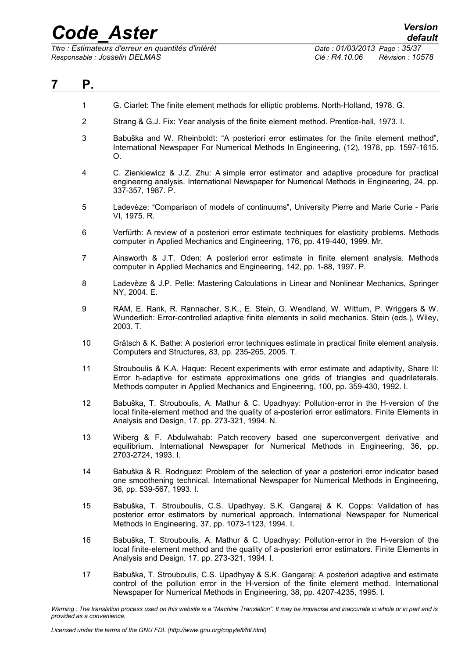*Titre : Estimateurs d'erreur en quantités d'intérêt Date : 01/03/2013 Page : 35/37 Responsable : Josselin DELMAS Clé : R4.10.06 Révision : 10578*

<span id="page-34-0"></span>

| 7 | Р.                         |                                                                                                                                                                                                                                                                            |
|---|----------------------------|----------------------------------------------------------------------------------------------------------------------------------------------------------------------------------------------------------------------------------------------------------------------------|
|   | 1                          | G. Ciarlet: The finite element methods for elliptic problems. North-Holland, 1978. G.                                                                                                                                                                                      |
|   | $\overline{2}$             | Strang & G.J. Fix: Year analysis of the finite element method. Prentice-hall, 1973. I.                                                                                                                                                                                     |
|   | 3                          | Babuška and W. Rheinboldt: "A posteriori error estimates for the finite element method",<br>International Newspaper For Numerical Methods In Engineering, (12), 1978, pp. 1597-1615.<br>O.                                                                                 |
|   | 4                          | C. Zienkiewicz & J.Z. Zhu: A simple error estimator and adaptive procedure for practical<br>engineerng analysis. International Newspaper for Numerical Methods in Engineering, 24, pp.<br>337-357, 1987. P.                                                                |
|   | 5                          | Ladevèze: "Comparison of models of continuums", University Pierre and Marie Curie - Paris<br>VI, 1975. R.                                                                                                                                                                  |
|   | 6                          | Verfürth: A review of a posteriori error estimate techniques for elasticity problems. Methods<br>computer in Applied Mechanics and Engineering, 176, pp. 419-440, 1999. Mr.                                                                                                |
|   | $\overline{7}$             | Ainsworth & J.T. Oden: A posteriori error estimate in finite element analysis. Methods<br>computer in Applied Mechanics and Engineering, 142, pp. 1-88, 1997. P.                                                                                                           |
|   | 8                          | Ladevèze & J.P. Pelle: Mastering Calculations in Linear and Nonlinear Mechanics, Springer<br>NY, 2004. E.                                                                                                                                                                  |
|   | 9                          | RAM, E. Rank, R. Rannacher, S.K., E. Stein, G. Wendland, W. Wittum, P. Wriggers & W.<br>Wunderlich: Error-controlled adaptive finite elements in solid mechanics. Stein (eds.), Wiley,<br>2003. T.                                                                         |
|   | 10                         | Grätsch & K. Bathe: A posteriori error techniques estimate in practical finite element analysis.<br>Computers and Structures, 83, pp. 235-265, 2005. T.                                                                                                                    |
|   | 11                         | Strouboulis & K.A. Haque: Recent experiments with error estimate and adaptivity, Share II:<br>Error h-adaptive for estimate approximations one grids of triangles and quadrilaterals.<br>Methods computer in Applied Mechanics and Engineering, 100, pp. 359-430, 1992. I. |
|   | 12                         | Babuška, T. Strouboulis, A. Mathur & C. Upadhyay: Pollution-error in the H-version of the<br>local finite-element method and the quality of a-posteriori error estimators. Finite Elements in<br>Analysis and Design, 17, pp. 273-321, 1994. N.                            |
|   | 13                         | Wiberg & F. Abdulwahab: Patch recovery based one superconvergent derivative and<br>equilibrium. International Newspaper for Numerical Methods in Engineering, 36, pp.<br>2703-2724, 1993. I.                                                                               |
|   | 14                         | Babuška & R. Rodriguez: Problem of the selection of year a posteriori error indicator based<br>one smoothening technical. International Newspaper for Numerical Methods in Engineering,<br>36, pp. 539-567, 1993. I.                                                       |
|   | 15                         | Babuška, T. Strouboulis, C.S. Upadhyay, S.K. Gangaraj & K. Copps: Validation of has<br>posterior error estimators by numerical approach. International Newspaper for Numerical<br>Methods In Engineering, 37, pp. 1073-1123, 1994. I.                                      |
|   | 16                         | Babuška, T. Strouboulis, A. Mathur & C. Upadhyay: Pollution-error in the H-version of the<br>local finite-element method and the quality of a-posteriori error estimators. Finite Elements in<br>Analysis and Design, 17, pp. 273-321, 1994. I.                            |
|   | 17                         | Babuška, T. Strouboulis, C.S. Upadhyay & S.K. Gangaraj: A posteriori adaptive and estimate<br>control of the pollution error in the H-version of the finite element method. International<br>Newspaper for Numerical Methods in Engineering, 38, pp. 4207-4235, 1995. I.   |
|   | provided as a convenience. | Warning : The translation process used on this website is a "Machine Translation". It may be imprecise and inaccurate in whole or in part and is                                                                                                                           |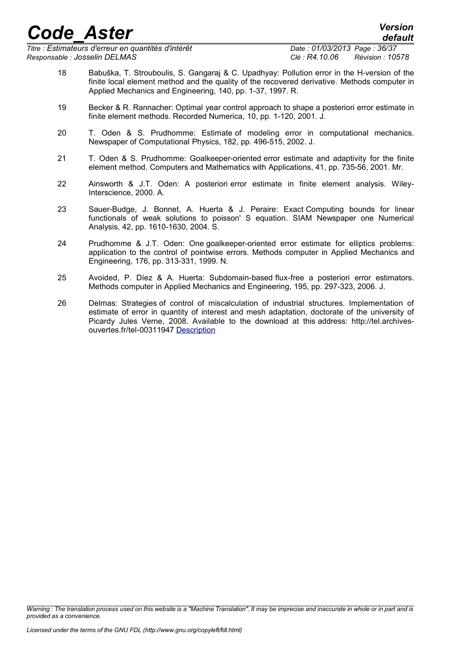*Titre : Estimateurs d'erreur en quantités d'intérêt Date : 01/03/2013 Page : 36/37 Responsable : Josselin DELMAS Clé : R4.10.06 Révision : 10578*

*default*

- 18 Babuška, T. Strouboulis, S. Gangaraj & C. Upadhyay: Pollution error in the H-version of the finite local element method and the quality of the recovered derivative. Methods computer in Applied Mechanics and Engineering, 140, pp. 1-37, 1997. R.
- 19 Becker & R. Rannacher: Optimal year control approach to shape a posteriori error estimate in finite element methods. Recorded Numerica, 10, pp. 1-120, 2001. J.
- 20 T. Oden & S. Prudhomme: Estimate of modeling error in computational mechanics. Newspaper of Computational Physics, 182, pp. 496-515, 2002. J.
- 21 T. Oden & S. Prudhomme: Goalkeeper-oriented error estimate and adaptivity for the finite element method. Computers and Mathematics with Applications, 41, pp. 735-56, 2001. Mr.
- 22 Ainsworth & J.T. Oden: A posteriori error estimate in finite element analysis. Wiley-Interscience, 2000. A.
- 23 Sauer-Budge, J. Bonnet, A. Huerta & J. Peraire: Exact Computing bounds for linear functionals of weak solutions to poisson' S equation. SIAM Newspaper one Numerical Analysis, 42, pp. 1610-1630, 2004. S.
- 24 Prudhomme & J.T. Oden: One goalkeeper-oriented error estimate for elliptics problems: application to the control of pointwise errors. Methods computer in Applied Mechanics and Engineering, 176, pp. 313-331, 1999. N.
- 25 Avoided, P. Díez & A. Huerta: Subdomain-based flux-free a posteriori error estimators. Methods computer in Applied Mechanics and Engineering, 195, pp. 297-323, 2006. J.
- 26 Delmas: Strategies of control of miscalculation of industrial structures. Implementation of estimate of error in quantity of interest and mesh adaptation, doctorate of the university of Picardy Jules Verne, 2008. Available to the download at this address: http://tel.archivesouvertes.fr/tel-00311947 [Description](http://tel.archives-ouvertes.fr/tel-00311947)

*Warning : The translation process used on this website is a "Machine Translation". It may be imprecise and inaccurate in whole or in part and is provided as a convenience.*